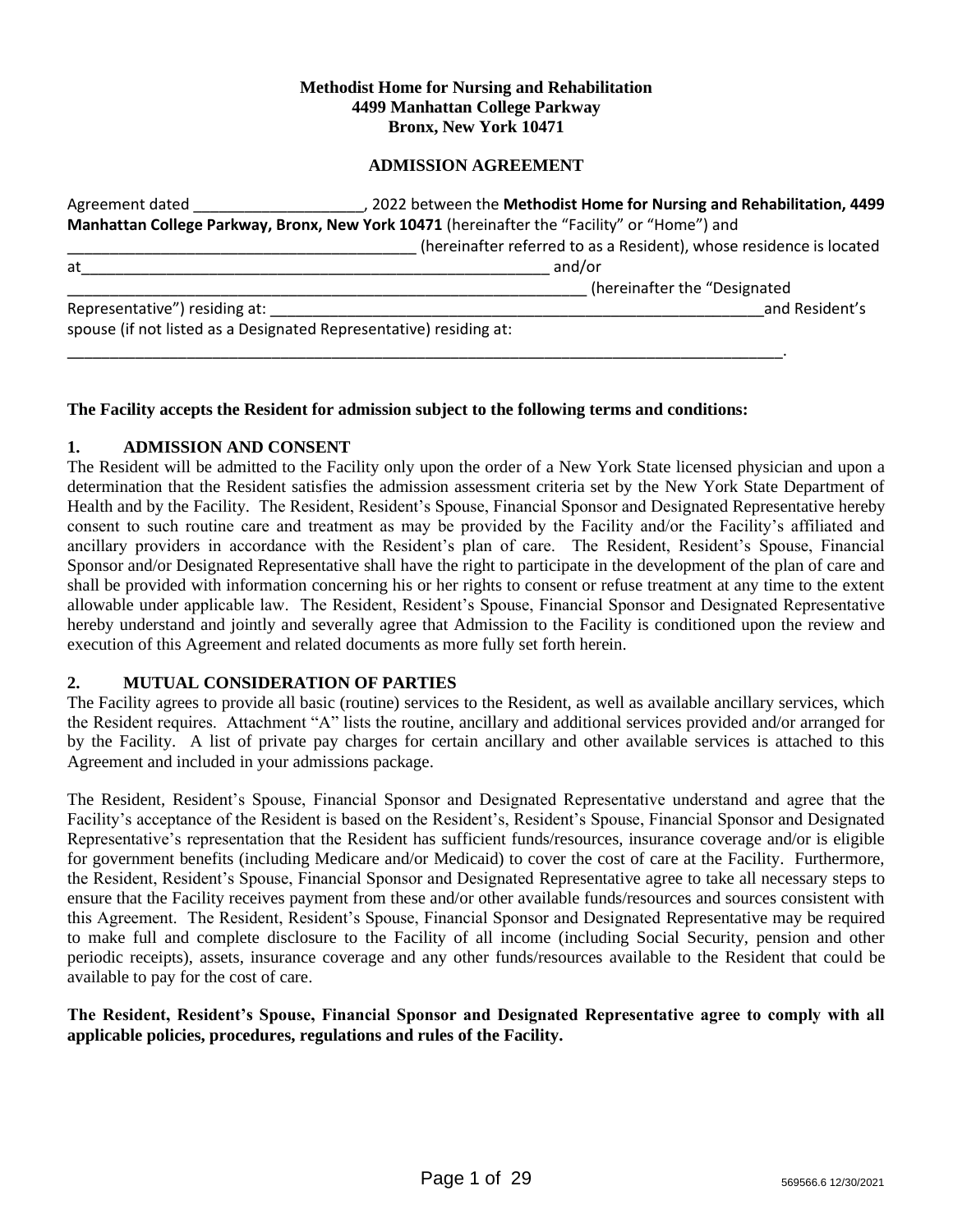### **Methodist Home for Nursing and Rehabilitation 4499 Manhattan College Parkway Bronx, New York 10471**

## **ADMISSION AGREEMENT**

| Agreement dated               | 2022 between the Methodist Home for Nursing and Rehabilitation, 4499                        |  |  |  |
|-------------------------------|---------------------------------------------------------------------------------------------|--|--|--|
|                               | Manhattan College Parkway, Bronx, New York 10471 (hereinafter the "Facility" or "Home") and |  |  |  |
|                               | (hereinafter referred to as a Resident), whose residence is located                         |  |  |  |
| at                            | and/or                                                                                      |  |  |  |
|                               | (hereinafter the "Designated                                                                |  |  |  |
| Representative") residing at: | and Resident's                                                                              |  |  |  |
|                               | spouse (if not listed as a Designated Representative) residing at:                          |  |  |  |
|                               |                                                                                             |  |  |  |

## **The Facility accepts the Resident for admission subject to the following terms and conditions:**

#### **1. ADMISSION AND CONSENT**

The Resident will be admitted to the Facility only upon the order of a New York State licensed physician and upon a determination that the Resident satisfies the admission assessment criteria set by the New York State Department of Health and by the Facility.The Resident, Resident's Spouse, Financial Sponsor and Designated Representative hereby consent to such routine care and treatment as may be provided by the Facility and/or the Facility's affiliated and ancillary providers in accordance with the Resident's plan of care. The Resident, Resident's Spouse, Financial Sponsor and/or Designated Representative shall have the right to participate in the development of the plan of care and shall be provided with information concerning his or her rights to consent or refuse treatment at any time to the extent allowable under applicable law. The Resident, Resident's Spouse, Financial Sponsor and Designated Representative hereby understand and jointly and severally agree that Admission to the Facility is conditioned upon the review and execution of this Agreement and related documents as more fully set forth herein.

## **2. MUTUAL CONSIDERATION OF PARTIES**

The Facility agrees to provide all basic (routine) services to the Resident, as well as available ancillary services, which the Resident requires. Attachment "A" lists the routine, ancillary and additional services provided and/or arranged for by the Facility. A list of private pay charges for certain ancillary and other available services is attached to this Agreement and included in your admissions package.

The Resident, Resident's Spouse, Financial Sponsor and Designated Representative understand and agree that the Facility's acceptance of the Resident is based on the Resident's, Resident's Spouse, Financial Sponsor and Designated Representative's representation that the Resident has sufficient funds/resources, insurance coverage and/or is eligible for government benefits (including Medicare and/or Medicaid) to cover the cost of care at the Facility. Furthermore, the Resident, Resident's Spouse, Financial Sponsor and Designated Representative agree to take all necessary steps to ensure that the Facility receives payment from these and/or other available funds/resources and sources consistent with this Agreement. The Resident, Resident's Spouse, Financial Sponsor and Designated Representative may be required to make full and complete disclosure to the Facility of all income (including Social Security, pension and other periodic receipts), assets, insurance coverage and any other funds/resources available to the Resident that could be available to pay for the cost of care.

## **The Resident, Resident's Spouse, Financial Sponsor and Designated Representative agree to comply with all applicable policies, procedures, regulations and rules of the Facility.**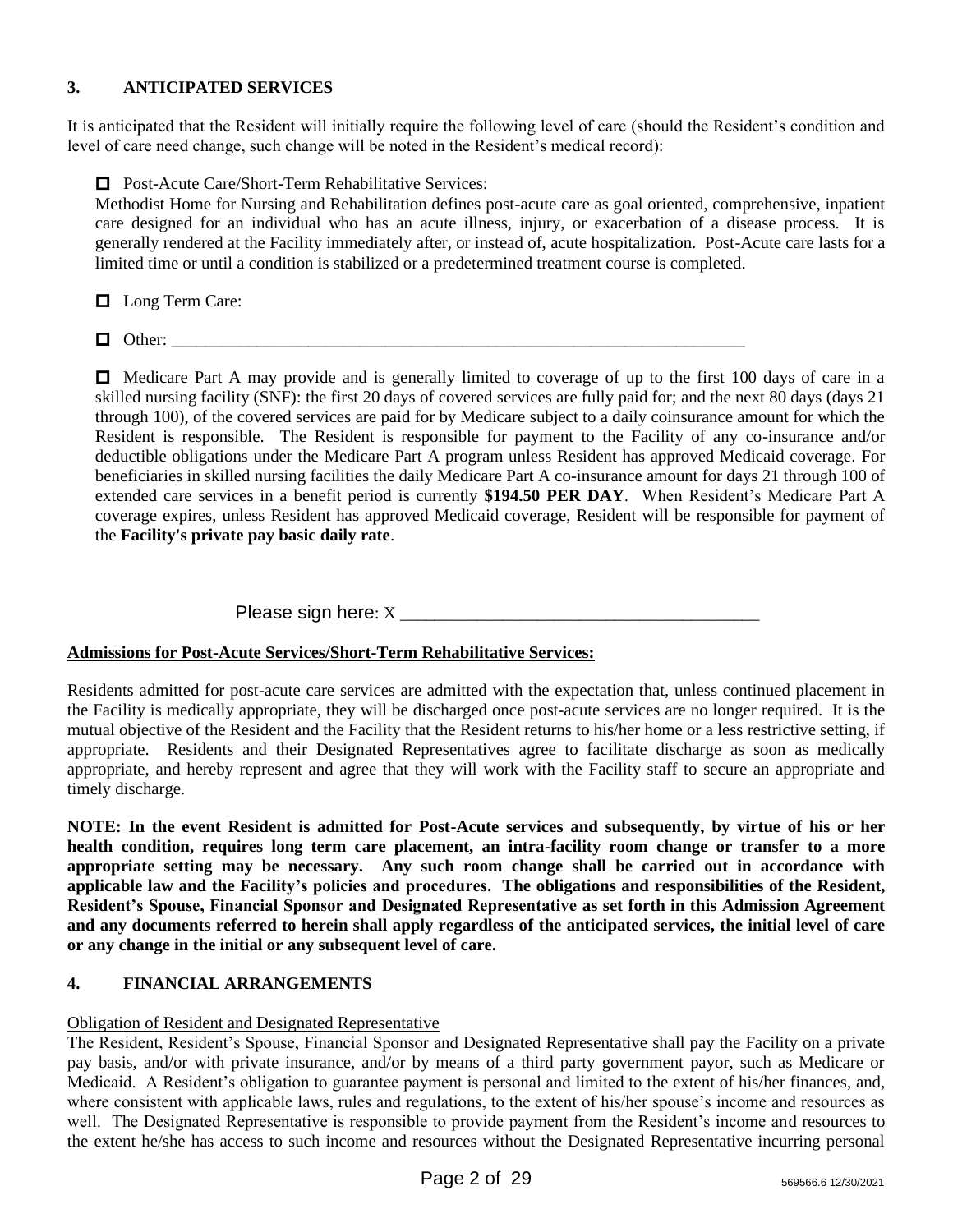# **3. ANTICIPATED SERVICES**

It is anticipated that the Resident will initially require the following level of care (should the Resident's condition and level of care need change, such change will be noted in the Resident's medical record):

□ Post-Acute Care/Short-Term Rehabilitative Services:

Methodist Home for Nursing and Rehabilitation defines post-acute care as goal oriented, comprehensive, inpatient care designed for an individual who has an acute illness, injury, or exacerbation of a disease process. It is generally rendered at the Facility immediately after, or instead of, acute hospitalization. Post-Acute care lasts for a limited time or until a condition is stabilized or a predetermined treatment course is completed.

**Long Term Care:** 

Other: \_\_\_\_\_\_\_\_\_\_\_\_\_\_\_\_\_\_\_\_\_\_\_\_\_\_\_\_\_\_\_\_\_\_\_\_\_\_\_\_\_\_\_\_\_\_\_\_\_\_\_\_\_\_\_\_\_\_\_\_\_\_\_\_\_\_\_

 $\Box$  Medicare Part A may provide and is generally limited to coverage of up to the first 100 days of care in a skilled nursing facility (SNF): the first 20 days of covered services are fully paid for; and the next 80 days (days 21 through 100), of the covered services are paid for by Medicare subject to a daily coinsurance amount for which the Resident is responsible. The Resident is responsible for payment to the Facility of any co-insurance and/or deductible obligations under the Medicare Part A program unless Resident has approved Medicaid coverage. For beneficiaries in skilled nursing facilities the daily Medicare Part A co-insurance amount for days 21 through 100 of extended care services in a benefit period is currently **\$194.50 PER DAY**. When Resident's Medicare Part A coverage expires, unless Resident has approved Medicaid coverage, Resident will be responsible for payment of the **Facility's private pay basic daily rate**.

Please sign here: X

## **Admissions for Post-Acute Services/Short-Term Rehabilitative Services:**

Residents admitted for post-acute care services are admitted with the expectation that, unless continued placement in the Facility is medically appropriate, they will be discharged once post-acute services are no longer required. It is the mutual objective of the Resident and the Facility that the Resident returns to his/her home or a less restrictive setting, if appropriate. Residents and their Designated Representatives agree to facilitate discharge as soon as medically appropriate, and hereby represent and agree that they will work with the Facility staff to secure an appropriate and timely discharge.

**NOTE: In the event Resident is admitted for Post-Acute services and subsequently, by virtue of his or her health condition, requires long term care placement, an intra-facility room change or transfer to a more appropriate setting may be necessary. Any such room change shall be carried out in accordance with applicable law and the Facility's policies and procedures. The obligations and responsibilities of the Resident, Resident's Spouse, Financial Sponsor and Designated Representative as set forth in this Admission Agreement and any documents referred to herein shall apply regardless of the anticipated services, the initial level of care or any change in the initial or any subsequent level of care.** 

# **4. FINANCIAL ARRANGEMENTS**

## Obligation of Resident and Designated Representative

The Resident, Resident's Spouse, Financial Sponsor and Designated Representative shall pay the Facility on a private pay basis, and/or with private insurance, and/or by means of a third party government payor, such as Medicare or Medicaid. A Resident's obligation to guarantee payment is personal and limited to the extent of his/her finances, and, where consistent with applicable laws, rules and regulations, to the extent of his/her spouse's income and resources as well. The Designated Representative is responsible to provide payment from the Resident's income and resources to the extent he/she has access to such income and resources without the Designated Representative incurring personal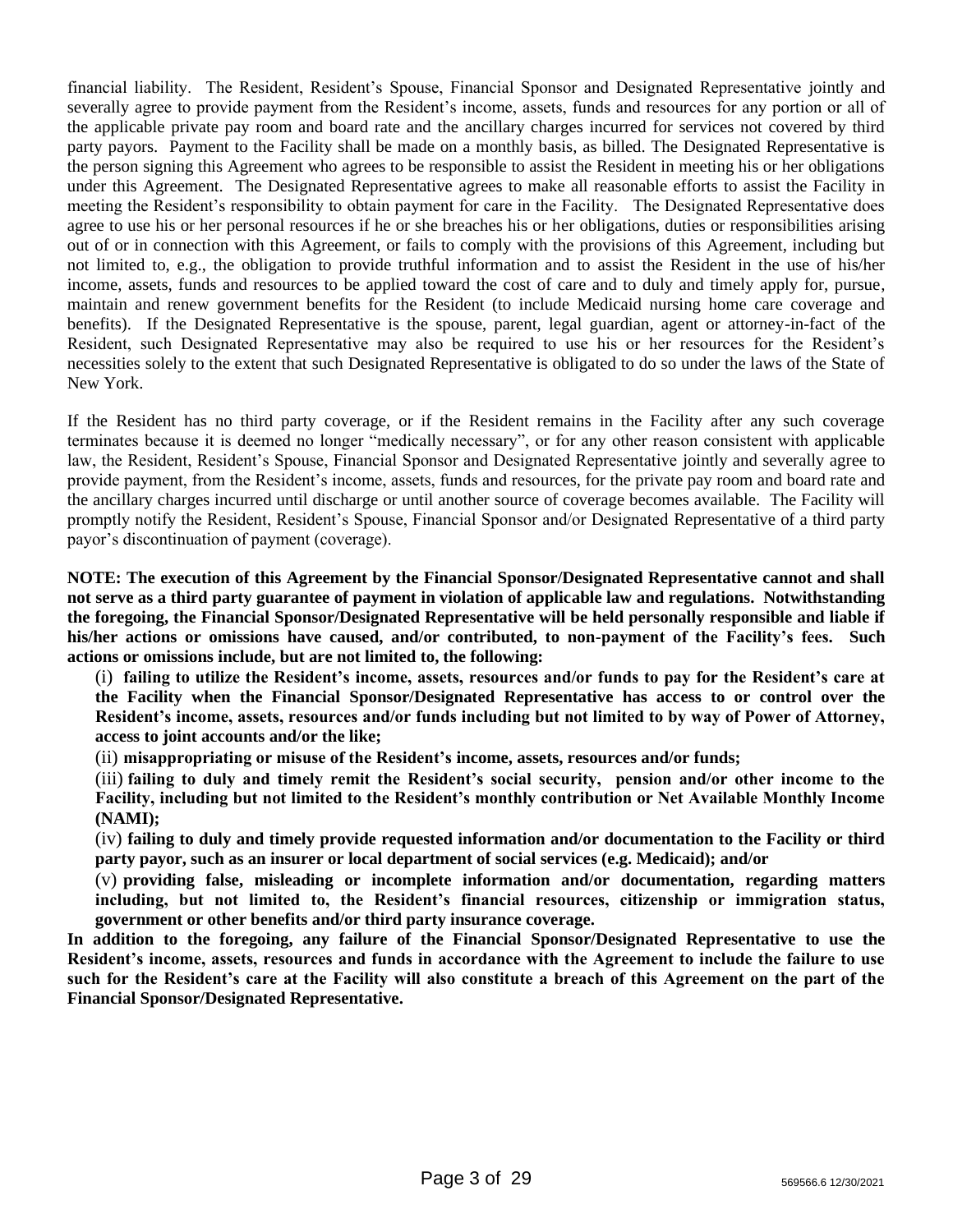financial liability. The Resident, Resident's Spouse, Financial Sponsor and Designated Representative jointly and severally agree to provide payment from the Resident's income, assets, funds and resources for any portion or all of the applicable private pay room and board rate and the ancillary charges incurred for services not covered by third party payors. Payment to the Facility shall be made on a monthly basis, as billed. The Designated Representative is the person signing this Agreement who agrees to be responsible to assist the Resident in meeting his or her obligations under this Agreement. The Designated Representative agrees to make all reasonable efforts to assist the Facility in meeting the Resident's responsibility to obtain payment for care in the Facility. The Designated Representative does agree to use his or her personal resources if he or she breaches his or her obligations, duties or responsibilities arising out of or in connection with this Agreement, or fails to comply with the provisions of this Agreement, including but not limited to, e.g., the obligation to provide truthful information and to assist the Resident in the use of his/her income, assets, funds and resources to be applied toward the cost of care and to duly and timely apply for, pursue, maintain and renew government benefits for the Resident (to include Medicaid nursing home care coverage and benefits). If the Designated Representative is the spouse, parent, legal guardian, agent or attorney-in-fact of the Resident, such Designated Representative may also be required to use his or her resources for the Resident's necessities solely to the extent that such Designated Representative is obligated to do so under the laws of the State of New York.

If the Resident has no third party coverage, or if the Resident remains in the Facility after any such coverage terminates because it is deemed no longer "medically necessary", or for any other reason consistent with applicable law, the Resident, Resident's Spouse, Financial Sponsor and Designated Representative jointly and severally agree to provide payment, from the Resident's income, assets, funds and resources, for the private pay room and board rate and the ancillary charges incurred until discharge or until another source of coverage becomes available. The Facility will promptly notify the Resident, Resident's Spouse, Financial Sponsor and/or Designated Representative of a third party payor's discontinuation of payment (coverage).

**NOTE: The execution of this Agreement by the Financial Sponsor/Designated Representative cannot and shall not serve as a third party guarantee of payment in violation of applicable law and regulations. Notwithstanding the foregoing, the Financial Sponsor/Designated Representative will be held personally responsible and liable if his/her actions or omissions have caused, and/or contributed, to non-payment of the Facility's fees. Such actions or omissions include, but are not limited to, the following:**

(i) **failing to utilize the Resident's income, assets, resources and/or funds to pay for the Resident's care at the Facility when the Financial Sponsor/Designated Representative has access to or control over the Resident's income, assets, resources and/or funds including but not limited to by way of Power of Attorney, access to joint accounts and/or the like;**

(ii) **misappropriating or misuse of the Resident's income, assets, resources and/or funds;**

(iii) **failing to duly and timely remit the Resident's social security, pension and/or other income to the Facility, including but not limited to the Resident's monthly contribution or Net Available Monthly Income (NAMI);**

(iv) **failing to duly and timely provide requested information and/or documentation to the Facility or third party payor, such as an insurer or local department of social services (e.g. Medicaid); and/or**

(v) **providing false, misleading or incomplete information and/or documentation, regarding matters including, but not limited to, the Resident's financial resources, citizenship or immigration status, government or other benefits and/or third party insurance coverage.**

**In addition to the foregoing, any failure of the Financial Sponsor/Designated Representative to use the Resident's income, assets, resources and funds in accordance with the Agreement to include the failure to use such for the Resident's care at the Facility will also constitute a breach of this Agreement on the part of the Financial Sponsor/Designated Representative.**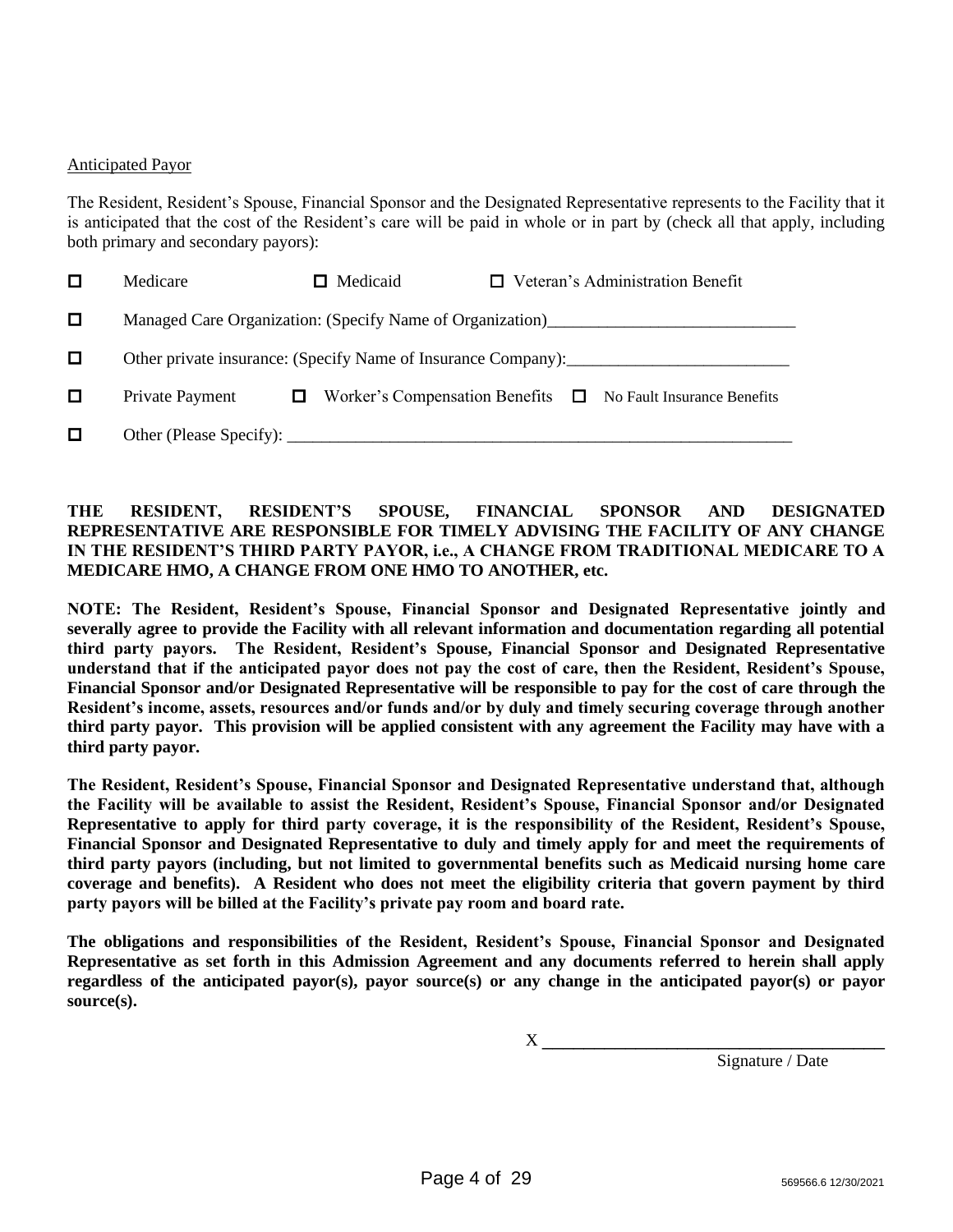#### Anticipated Payor

The Resident, Resident's Spouse, Financial Sponsor and the Designated Representative represents to the Facility that it is anticipated that the cost of the Resident's care will be paid in whole or in part by (check all that apply, including both primary and secondary payors):

|   | Medicare                                                      | Medicaid | $\Box$ Veteran's Administration Benefit                           |  |  |  |  |
|---|---------------------------------------------------------------|----------|-------------------------------------------------------------------|--|--|--|--|
| 0 |                                                               |          |                                                                   |  |  |  |  |
| □ | Other private insurance: (Specify Name of Insurance Company): |          |                                                                   |  |  |  |  |
|   | Private Payment                                               |          | Worker's Compensation Benefits $\Box$ No Fault Insurance Benefits |  |  |  |  |
|   |                                                               |          |                                                                   |  |  |  |  |

## **THE RESIDENT, RESIDENT'S SPOUSE, FINANCIAL SPONSOR AND DESIGNATED REPRESENTATIVE ARE RESPONSIBLE FOR TIMELY ADVISING THE FACILITY OF ANY CHANGE IN THE RESIDENT'S THIRD PARTY PAYOR, i.e., A CHANGE FROM TRADITIONAL MEDICARE TO A MEDICARE HMO, A CHANGE FROM ONE HMO TO ANOTHER, etc.**

**NOTE: The Resident, Resident's Spouse, Financial Sponsor and Designated Representative jointly and severally agree to provide the Facility with all relevant information and documentation regarding all potential third party payors. The Resident, Resident's Spouse, Financial Sponsor and Designated Representative understand that if the anticipated payor does not pay the cost of care, then the Resident, Resident's Spouse, Financial Sponsor and/or Designated Representative will be responsible to pay for the cost of care through the Resident's income, assets, resources and/or funds and/or by duly and timely securing coverage through another third party payor. This provision will be applied consistent with any agreement the Facility may have with a third party payor.**

**The Resident, Resident's Spouse, Financial Sponsor and Designated Representative understand that, although the Facility will be available to assist the Resident, Resident's Spouse, Financial Sponsor and/or Designated Representative to apply for third party coverage, it is the responsibility of the Resident, Resident's Spouse, Financial Sponsor and Designated Representative to duly and timely apply for and meet the requirements of third party payors (including, but not limited to governmental benefits such as Medicaid nursing home care coverage and benefits). A Resident who does not meet the eligibility criteria that govern payment by third party payors will be billed at the Facility's private pay room and board rate.**

**The obligations and responsibilities of the Resident, Resident's Spouse, Financial Sponsor and Designated Representative as set forth in this Admission Agreement and any documents referred to herein shall apply regardless of the anticipated payor(s), payor source(s) or any change in the anticipated payor(s) or payor source(s).** 

 $X \sim$ 

Signature / Date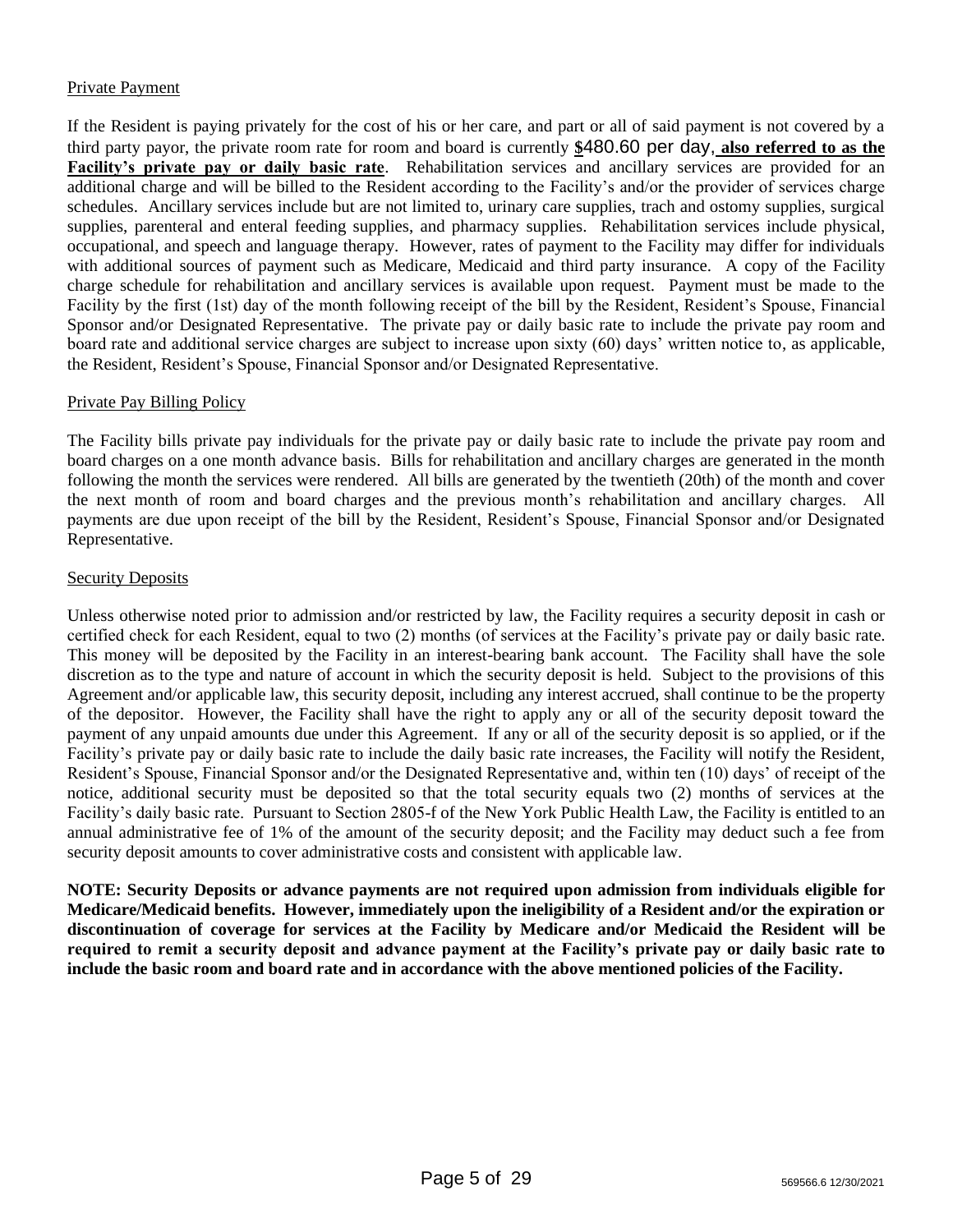## Private Payment

If the Resident is paying privately for the cost of his or her care, and part or all of said payment is not covered by a third party payor, the private room rate for room and board is currently **\$**480.60 per day, **also referred to as the Facility's private pay or daily basic rate**. Rehabilitation services and ancillary services are provided for an additional charge and will be billed to the Resident according to the Facility's and/or the provider of services charge schedules. Ancillary services include but are not limited to, urinary care supplies, trach and ostomy supplies, surgical supplies, parenteral and enteral feeding supplies, and pharmacy supplies. Rehabilitation services include physical, occupational, and speech and language therapy. However, rates of payment to the Facility may differ for individuals with additional sources of payment such as Medicare, Medicaid and third party insurance. A copy of the Facility charge schedule for rehabilitation and ancillary services is available upon request. Payment must be made to the Facility by the first (1st) day of the month following receipt of the bill by the Resident, Resident's Spouse, Financial Sponsor and/or Designated Representative. The private pay or daily basic rate to include the private pay room and board rate and additional service charges are subject to increase upon sixty (60) days' written notice to, as applicable, the Resident, Resident's Spouse, Financial Sponsor and/or Designated Representative.

## Private Pay Billing Policy

The Facility bills private pay individuals for the private pay or daily basic rate to include the private pay room and board charges on a one month advance basis. Bills for rehabilitation and ancillary charges are generated in the month following the month the services were rendered. All bills are generated by the twentieth (20th) of the month and cover the next month of room and board charges and the previous month's rehabilitation and ancillary charges. All payments are due upon receipt of the bill by the Resident, Resident's Spouse, Financial Sponsor and/or Designated Representative.

#### Security Deposits

Unless otherwise noted prior to admission and/or restricted by law, the Facility requires a security deposit in cash or certified check for each Resident, equal to two (2) months (of services at the Facility's private pay or daily basic rate. This money will be deposited by the Facility in an interest-bearing bank account. The Facility shall have the sole discretion as to the type and nature of account in which the security deposit is held. Subject to the provisions of this Agreement and/or applicable law, this security deposit, including any interest accrued, shall continue to be the property of the depositor. However, the Facility shall have the right to apply any or all of the security deposit toward the payment of any unpaid amounts due under this Agreement. If any or all of the security deposit is so applied, or if the Facility's private pay or daily basic rate to include the daily basic rate increases, the Facility will notify the Resident, Resident's Spouse, Financial Sponsor and/or the Designated Representative and, within ten (10) days' of receipt of the notice, additional security must be deposited so that the total security equals two (2) months of services at the Facility's daily basic rate. Pursuant to Section 2805-f of the New York Public Health Law, the Facility is entitled to an annual administrative fee of 1% of the amount of the security deposit; and the Facility may deduct such a fee from security deposit amounts to cover administrative costs and consistent with applicable law.

**NOTE: Security Deposits or advance payments are not required upon admission from individuals eligible for Medicare/Medicaid benefits. However, immediately upon the ineligibility of a Resident and/or the expiration or discontinuation of coverage for services at the Facility by Medicare and/or Medicaid the Resident will be required to remit a security deposit and advance payment at the Facility's private pay or daily basic rate to include the basic room and board rate and in accordance with the above mentioned policies of the Facility.**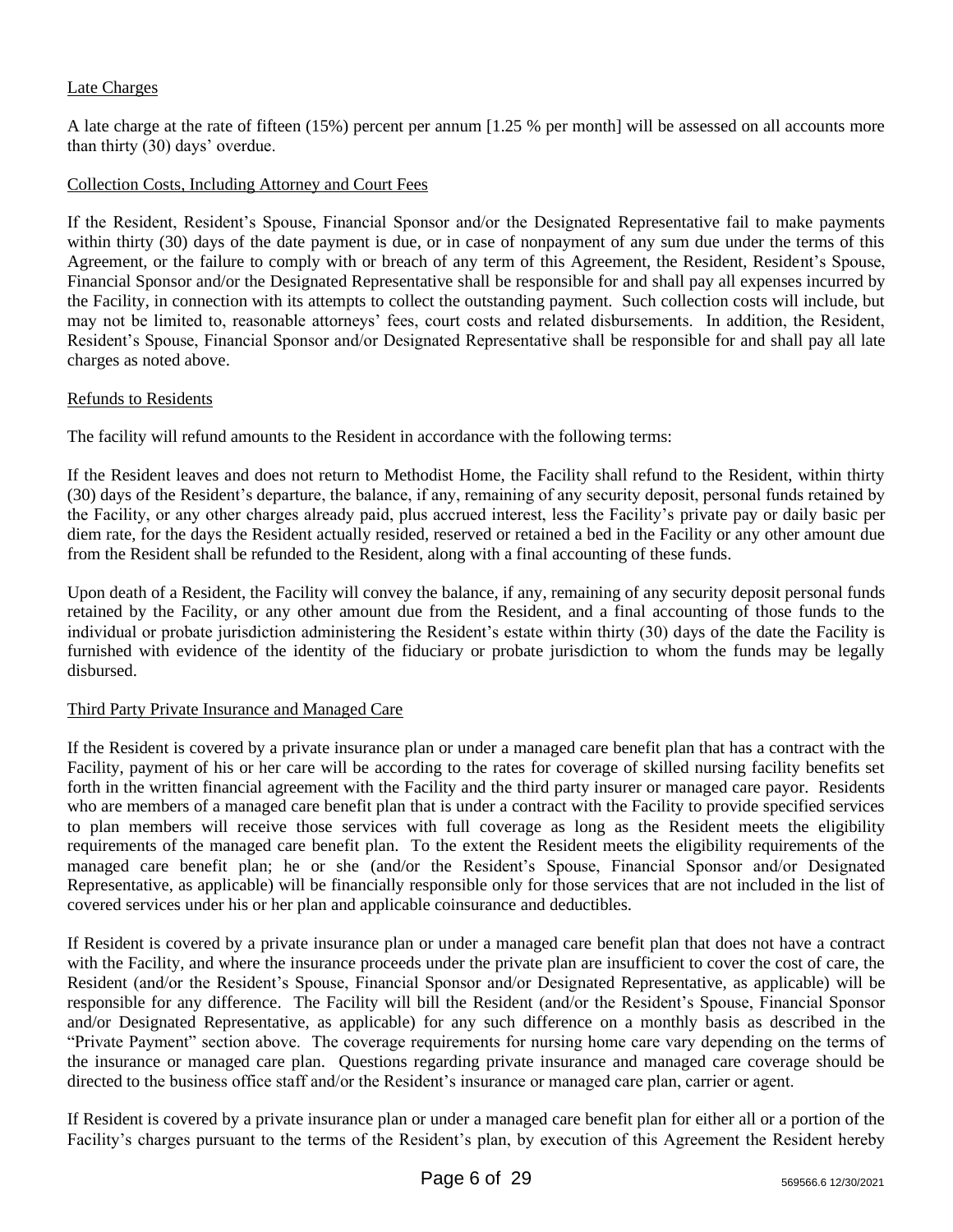## Late Charges

A late charge at the rate of fifteen (15%) percent per annum [1.25 % per month] will be assessed on all accounts more than thirty (30) days' overdue.

#### Collection Costs, Including Attorney and Court Fees

If the Resident, Resident's Spouse, Financial Sponsor and/or the Designated Representative fail to make payments within thirty (30) days of the date payment is due, or in case of nonpayment of any sum due under the terms of this Agreement, or the failure to comply with or breach of any term of this Agreement, the Resident, Resident's Spouse, Financial Sponsor and/or the Designated Representative shall be responsible for and shall pay all expenses incurred by the Facility, in connection with its attempts to collect the outstanding payment. Such collection costs will include, but may not be limited to, reasonable attorneys' fees, court costs and related disbursements. In addition, the Resident, Resident's Spouse, Financial Sponsor and/or Designated Representative shall be responsible for and shall pay all late charges as noted above.

#### Refunds to Residents

The facility will refund amounts to the Resident in accordance with the following terms:

If the Resident leaves and does not return to Methodist Home, the Facility shall refund to the Resident, within thirty (30) days of the Resident's departure, the balance, if any, remaining of any security deposit, personal funds retained by the Facility, or any other charges already paid, plus accrued interest, less the Facility's private pay or daily basic per diem rate, for the days the Resident actually resided, reserved or retained a bed in the Facility or any other amount due from the Resident shall be refunded to the Resident, along with a final accounting of these funds.

Upon death of a Resident, the Facility will convey the balance, if any, remaining of any security deposit personal funds retained by the Facility, or any other amount due from the Resident, and a final accounting of those funds to the individual or probate jurisdiction administering the Resident's estate within thirty (30) days of the date the Facility is furnished with evidence of the identity of the fiduciary or probate jurisdiction to whom the funds may be legally disbursed.

#### Third Party Private Insurance and Managed Care

If the Resident is covered by a private insurance plan or under a managed care benefit plan that has a contract with the Facility, payment of his or her care will be according to the rates for coverage of skilled nursing facility benefits set forth in the written financial agreement with the Facility and the third party insurer or managed care payor. Residents who are members of a managed care benefit plan that is under a contract with the Facility to provide specified services to plan members will receive those services with full coverage as long as the Resident meets the eligibility requirements of the managed care benefit plan. To the extent the Resident meets the eligibility requirements of the managed care benefit plan; he or she (and/or the Resident's Spouse, Financial Sponsor and/or Designated Representative, as applicable) will be financially responsible only for those services that are not included in the list of covered services under his or her plan and applicable coinsurance and deductibles.

If Resident is covered by a private insurance plan or under a managed care benefit plan that does not have a contract with the Facility, and where the insurance proceeds under the private plan are insufficient to cover the cost of care, the Resident (and/or the Resident's Spouse, Financial Sponsor and/or Designated Representative, as applicable) will be responsible for any difference. The Facility will bill the Resident (and/or the Resident's Spouse, Financial Sponsor and/or Designated Representative, as applicable) for any such difference on a monthly basis as described in the "Private Payment" section above. The coverage requirements for nursing home care vary depending on the terms of the insurance or managed care plan. Questions regarding private insurance and managed care coverage should be directed to the business office staff and/or the Resident's insurance or managed care plan, carrier or agent.

If Resident is covered by a private insurance plan or under a managed care benefit plan for either all or a portion of the Facility's charges pursuant to the terms of the Resident's plan, by execution of this Agreement the Resident hereby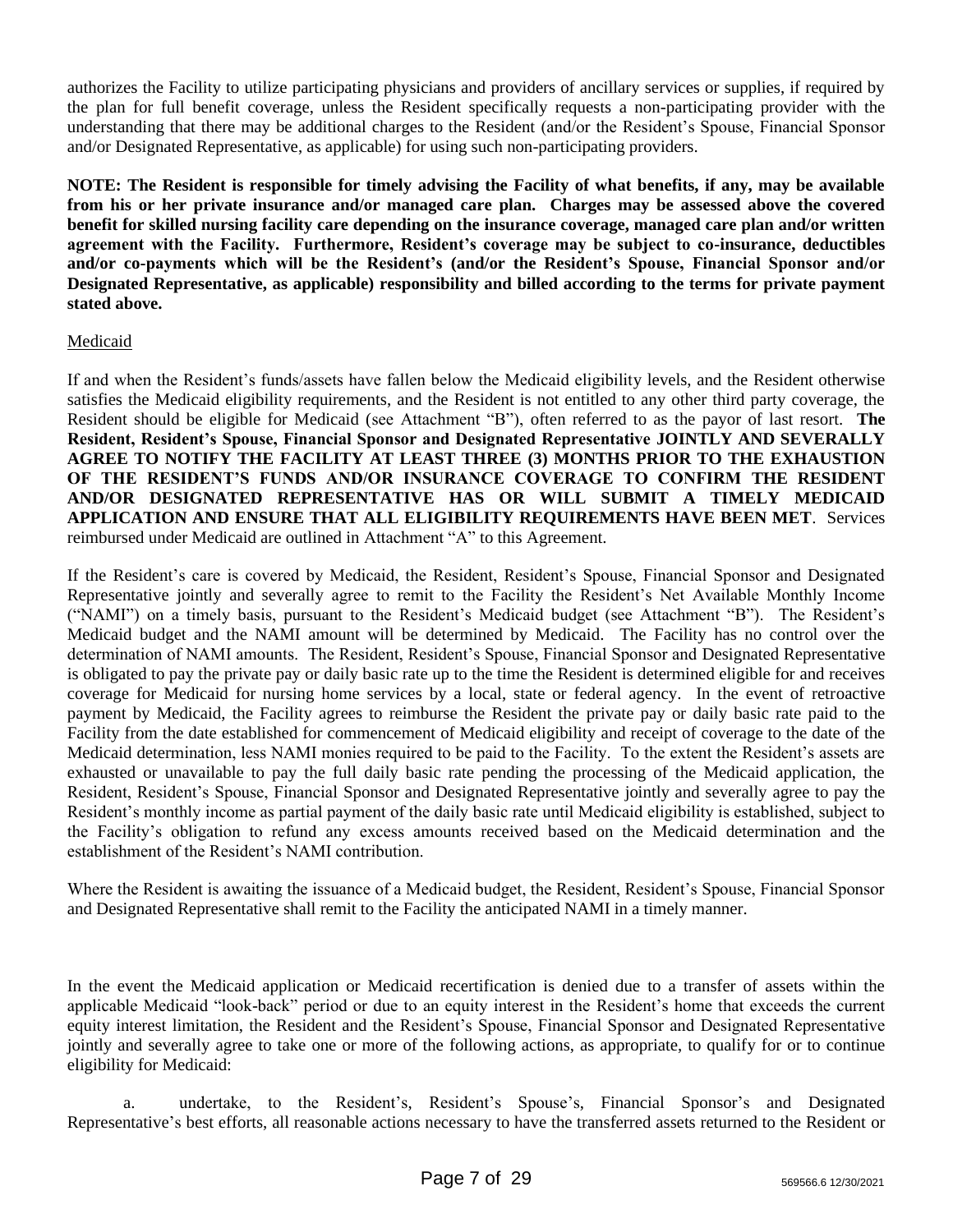authorizes the Facility to utilize participating physicians and providers of ancillary services or supplies, if required by the plan for full benefit coverage, unless the Resident specifically requests a non-participating provider with the understanding that there may be additional charges to the Resident (and/or the Resident's Spouse, Financial Sponsor and/or Designated Representative, as applicable) for using such non-participating providers.

**NOTE: The Resident is responsible for timely advising the Facility of what benefits, if any, may be available from his or her private insurance and/or managed care plan. Charges may be assessed above the covered benefit for skilled nursing facility care depending on the insurance coverage, managed care plan and/or written agreement with the Facility. Furthermore, Resident's coverage may be subject to co-insurance, deductibles and/or co-payments which will be the Resident's (and/or the Resident's Spouse, Financial Sponsor and/or Designated Representative, as applicable) responsibility and billed according to the terms for private payment stated above.**

# Medicaid

If and when the Resident's funds/assets have fallen below the Medicaid eligibility levels, and the Resident otherwise satisfies the Medicaid eligibility requirements, and the Resident is not entitled to any other third party coverage, the Resident should be eligible for Medicaid (see Attachment "B"), often referred to as the payor of last resort. **The Resident, Resident's Spouse, Financial Sponsor and Designated Representative JOINTLY AND SEVERALLY AGREE TO NOTIFY THE FACILITY AT LEAST THREE (3) MONTHS PRIOR TO THE EXHAUSTION OF THE RESIDENT'S FUNDS AND/OR INSURANCE COVERAGE TO CONFIRM THE RESIDENT AND/OR DESIGNATED REPRESENTATIVE HAS OR WILL SUBMIT A TIMELY MEDICAID APPLICATION AND ENSURE THAT ALL ELIGIBILITY REQUIREMENTS HAVE BEEN MET**. Services reimbursed under Medicaid are outlined in Attachment "A" to this Agreement.

If the Resident's care is covered by Medicaid, the Resident, Resident's Spouse, Financial Sponsor and Designated Representative jointly and severally agree to remit to the Facility the Resident's Net Available Monthly Income ("NAMI") on a timely basis, pursuant to the Resident's Medicaid budget (see Attachment "B"). The Resident's Medicaid budget and the NAMI amount will be determined by Medicaid. The Facility has no control over the determination of NAMI amounts. The Resident, Resident's Spouse, Financial Sponsor and Designated Representative is obligated to pay the private pay or daily basic rate up to the time the Resident is determined eligible for and receives coverage for Medicaid for nursing home services by a local, state or federal agency. In the event of retroactive payment by Medicaid, the Facility agrees to reimburse the Resident the private pay or daily basic rate paid to the Facility from the date established for commencement of Medicaid eligibility and receipt of coverage to the date of the Medicaid determination, less NAMI monies required to be paid to the Facility. To the extent the Resident's assets are exhausted or unavailable to pay the full daily basic rate pending the processing of the Medicaid application, the Resident, Resident's Spouse, Financial Sponsor and Designated Representative jointly and severally agree to pay the Resident's monthly income as partial payment of the daily basic rate until Medicaid eligibility is established, subject to the Facility's obligation to refund any excess amounts received based on the Medicaid determination and the establishment of the Resident's NAMI contribution.

Where the Resident is awaiting the issuance of a Medicaid budget, the Resident, Resident's Spouse, Financial Sponsor and Designated Representative shall remit to the Facility the anticipated NAMI in a timely manner.

In the event the Medicaid application or Medicaid recertification is denied due to a transfer of assets within the applicable Medicaid "look-back" period or due to an equity interest in the Resident's home that exceeds the current equity interest limitation, the Resident and the Resident's Spouse, Financial Sponsor and Designated Representative jointly and severally agree to take one or more of the following actions, as appropriate, to qualify for or to continue eligibility for Medicaid:

a. undertake, to the Resident's, Resident's Spouse's, Financial Sponsor's and Designated Representative's best efforts, all reasonable actions necessary to have the transferred assets returned to the Resident or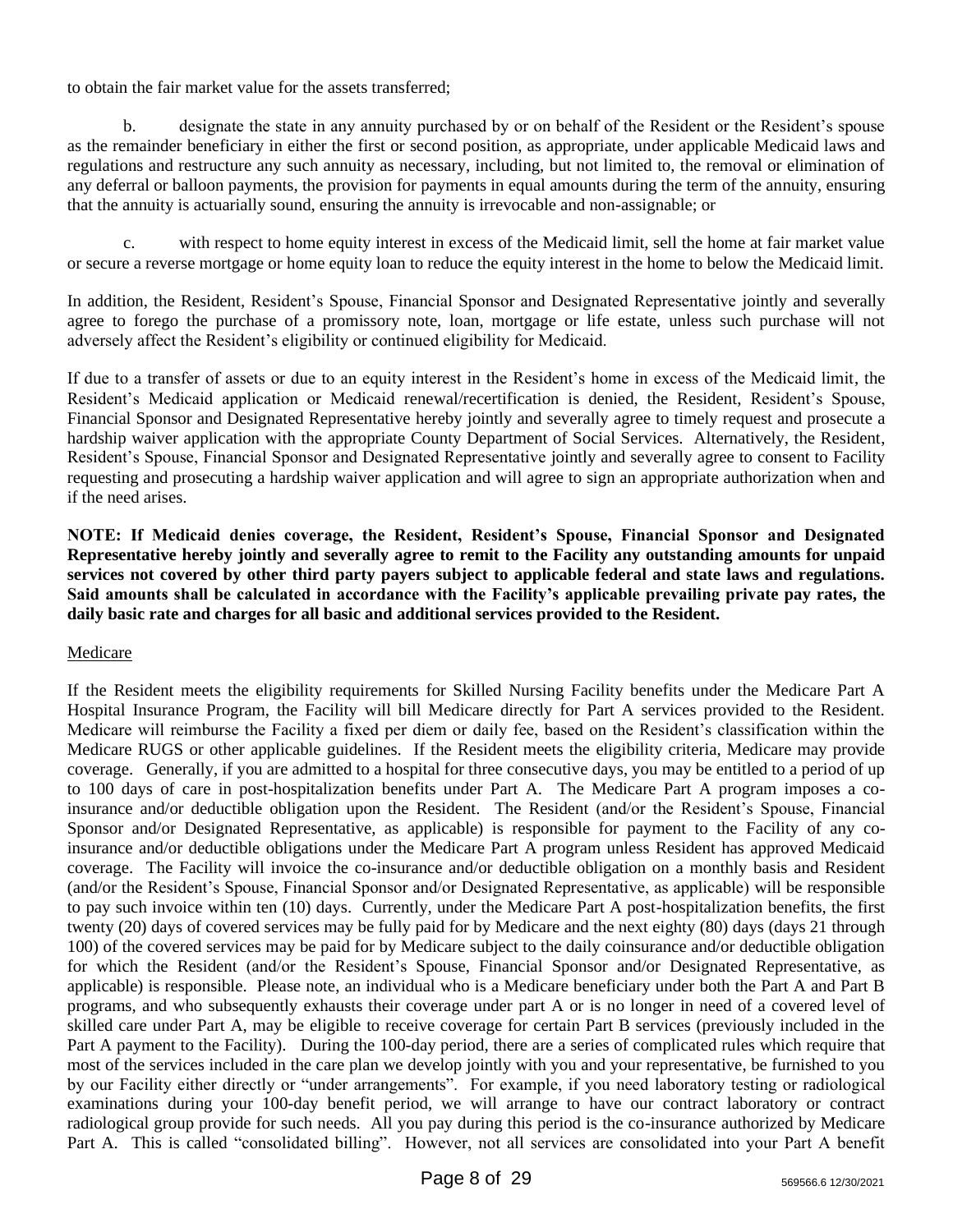to obtain the fair market value for the assets transferred;

designate the state in any annuity purchased by or on behalf of the Resident or the Resident's spouse as the remainder beneficiary in either the first or second position, as appropriate, under applicable Medicaid laws and regulations and restructure any such annuity as necessary, including, but not limited to, the removal or elimination of any deferral or balloon payments, the provision for payments in equal amounts during the term of the annuity, ensuring that the annuity is actuarially sound, ensuring the annuity is irrevocable and non-assignable; or

c. with respect to home equity interest in excess of the Medicaid limit, sell the home at fair market value or secure a reverse mortgage or home equity loan to reduce the equity interest in the home to below the Medicaid limit.

In addition, the Resident, Resident's Spouse, Financial Sponsor and Designated Representative jointly and severally agree to forego the purchase of a promissory note, loan, mortgage or life estate, unless such purchase will not adversely affect the Resident's eligibility or continued eligibility for Medicaid.

If due to a transfer of assets or due to an equity interest in the Resident's home in excess of the Medicaid limit, the Resident's Medicaid application or Medicaid renewal/recertification is denied, the Resident, Resident's Spouse, Financial Sponsor and Designated Representative hereby jointly and severally agree to timely request and prosecute a hardship waiver application with the appropriate County Department of Social Services. Alternatively, the Resident, Resident's Spouse, Financial Sponsor and Designated Representative jointly and severally agree to consent to Facility requesting and prosecuting a hardship waiver application and will agree to sign an appropriate authorization when and if the need arises.

**NOTE: If Medicaid denies coverage, the Resident, Resident's Spouse, Financial Sponsor and Designated Representative hereby jointly and severally agree to remit to the Facility any outstanding amounts for unpaid services not covered by other third party payers subject to applicable federal and state laws and regulations. Said amounts shall be calculated in accordance with the Facility's applicable prevailing private pay rates, the daily basic rate and charges for all basic and additional services provided to the Resident.**

## Medicare

If the Resident meets the eligibility requirements for Skilled Nursing Facility benefits under the Medicare Part A Hospital Insurance Program, the Facility will bill Medicare directly for Part A services provided to the Resident. Medicare will reimburse the Facility a fixed per diem or daily fee, based on the Resident's classification within the Medicare RUGS or other applicable guidelines. If the Resident meets the eligibility criteria, Medicare may provide coverage. Generally, if you are admitted to a hospital for three consecutive days, you may be entitled to a period of up to 100 days of care in post-hospitalization benefits under Part A. The Medicare Part A program imposes a coinsurance and/or deductible obligation upon the Resident. The Resident (and/or the Resident's Spouse, Financial Sponsor and/or Designated Representative, as applicable) is responsible for payment to the Facility of any coinsurance and/or deductible obligations under the Medicare Part A program unless Resident has approved Medicaid coverage. The Facility will invoice the co-insurance and/or deductible obligation on a monthly basis and Resident (and/or the Resident's Spouse, Financial Sponsor and/or Designated Representative, as applicable) will be responsible to pay such invoice within ten (10) days. Currently, under the Medicare Part A post-hospitalization benefits, the first twenty (20) days of covered services may be fully paid for by Medicare and the next eighty (80) days (days 21 through 100) of the covered services may be paid for by Medicare subject to the daily coinsurance and/or deductible obligation for which the Resident (and/or the Resident's Spouse, Financial Sponsor and/or Designated Representative, as applicable) is responsible. Please note, an individual who is a Medicare beneficiary under both the Part A and Part B programs, and who subsequently exhausts their coverage under part A or is no longer in need of a covered level of skilled care under Part A, may be eligible to receive coverage for certain Part B services (previously included in the Part A payment to the Facility). During the 100-day period, there are a series of complicated rules which require that most of the services included in the care plan we develop jointly with you and your representative, be furnished to you by our Facility either directly or "under arrangements". For example, if you need laboratory testing or radiological examinations during your 100-day benefit period, we will arrange to have our contract laboratory or contract radiological group provide for such needs. All you pay during this period is the co-insurance authorized by Medicare Part A. This is called "consolidated billing". However, not all services are consolidated into your Part A benefit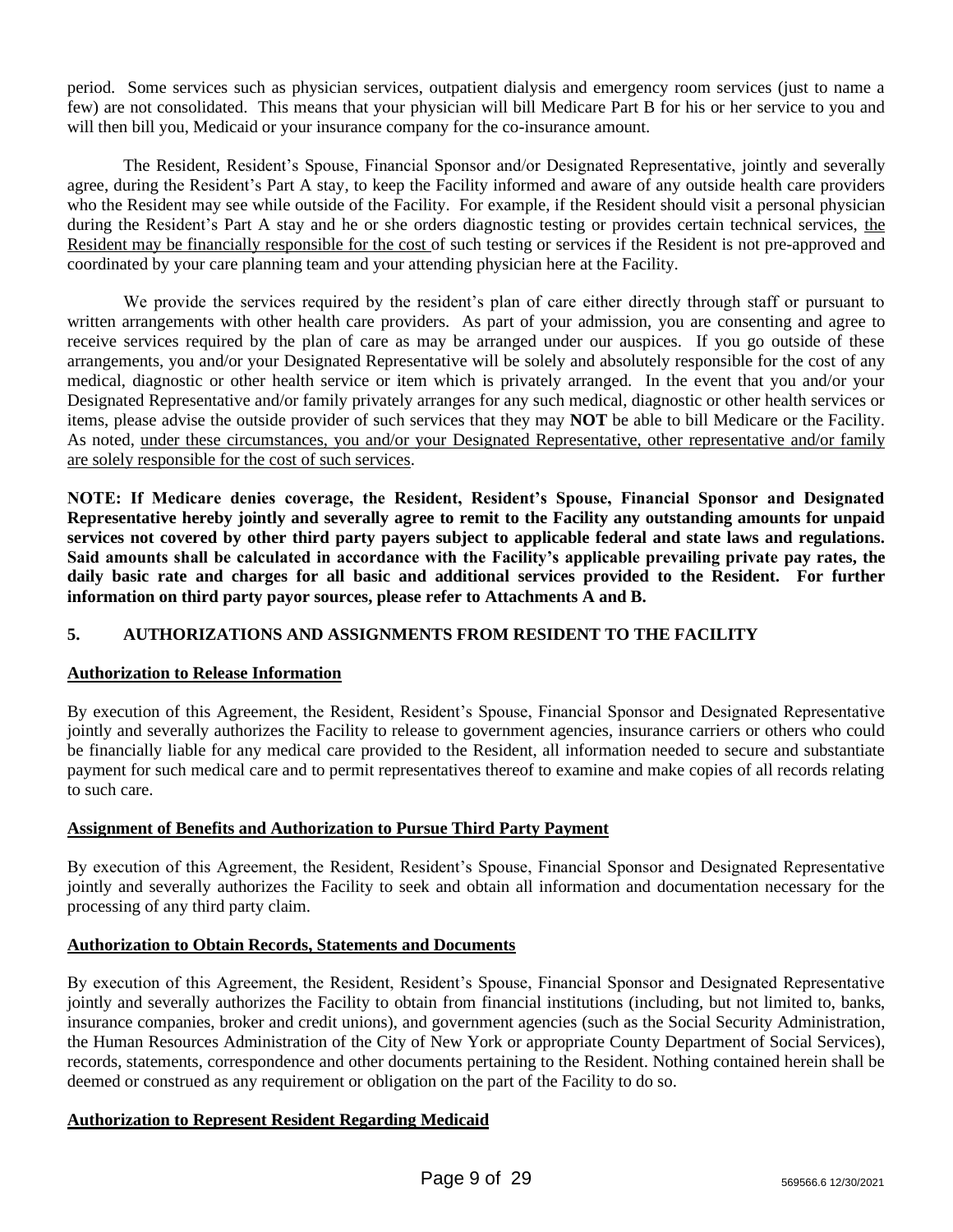period. Some services such as physician services, outpatient dialysis and emergency room services (just to name a few) are not consolidated. This means that your physician will bill Medicare Part B for his or her service to you and will then bill you, Medicaid or your insurance company for the co-insurance amount.

The Resident, Resident's Spouse, Financial Sponsor and/or Designated Representative, jointly and severally agree, during the Resident's Part A stay, to keep the Facility informed and aware of any outside health care providers who the Resident may see while outside of the Facility. For example, if the Resident should visit a personal physician during the Resident's Part A stay and he or she orders diagnostic testing or provides certain technical services, the Resident may be financially responsible for the cost of such testing or services if the Resident is not pre-approved and coordinated by your care planning team and your attending physician here at the Facility.

We provide the services required by the resident's plan of care either directly through staff or pursuant to written arrangements with other health care providers. As part of your admission, you are consenting and agree to receive services required by the plan of care as may be arranged under our auspices. If you go outside of these arrangements, you and/or your Designated Representative will be solely and absolutely responsible for the cost of any medical, diagnostic or other health service or item which is privately arranged. In the event that you and/or your Designated Representative and/or family privately arranges for any such medical, diagnostic or other health services or items, please advise the outside provider of such services that they may **NOT** be able to bill Medicare or the Facility. As noted, under these circumstances, you and/or your Designated Representative, other representative and/or family are solely responsible for the cost of such services.

**NOTE: If Medicare denies coverage, the Resident, Resident's Spouse, Financial Sponsor and Designated Representative hereby jointly and severally agree to remit to the Facility any outstanding amounts for unpaid services not covered by other third party payers subject to applicable federal and state laws and regulations. Said amounts shall be calculated in accordance with the Facility's applicable prevailing private pay rates, the daily basic rate and charges for all basic and additional services provided to the Resident. For further information on third party payor sources, please refer to Attachments A and B.**

# **5. AUTHORIZATIONS AND ASSIGNMENTS FROM RESIDENT TO THE FACILITY**

## **Authorization to Release Information**

By execution of this Agreement, the Resident, Resident's Spouse, Financial Sponsor and Designated Representative jointly and severally authorizes the Facility to release to government agencies, insurance carriers or others who could be financially liable for any medical care provided to the Resident, all information needed to secure and substantiate payment for such medical care and to permit representatives thereof to examine and make copies of all records relating to such care.

## **Assignment of Benefits and Authorization to Pursue Third Party Payment**

By execution of this Agreement, the Resident, Resident's Spouse, Financial Sponsor and Designated Representative jointly and severally authorizes the Facility to seek and obtain all information and documentation necessary for the processing of any third party claim.

## **Authorization to Obtain Records, Statements and Documents**

By execution of this Agreement, the Resident, Resident's Spouse, Financial Sponsor and Designated Representative jointly and severally authorizes the Facility to obtain from financial institutions (including, but not limited to, banks, insurance companies, broker and credit unions), and government agencies (such as the Social Security Administration, the Human Resources Administration of the City of New York or appropriate County Department of Social Services), records, statements, correspondence and other documents pertaining to the Resident. Nothing contained herein shall be deemed or construed as any requirement or obligation on the part of the Facility to do so.

## **Authorization to Represent Resident Regarding Medicaid**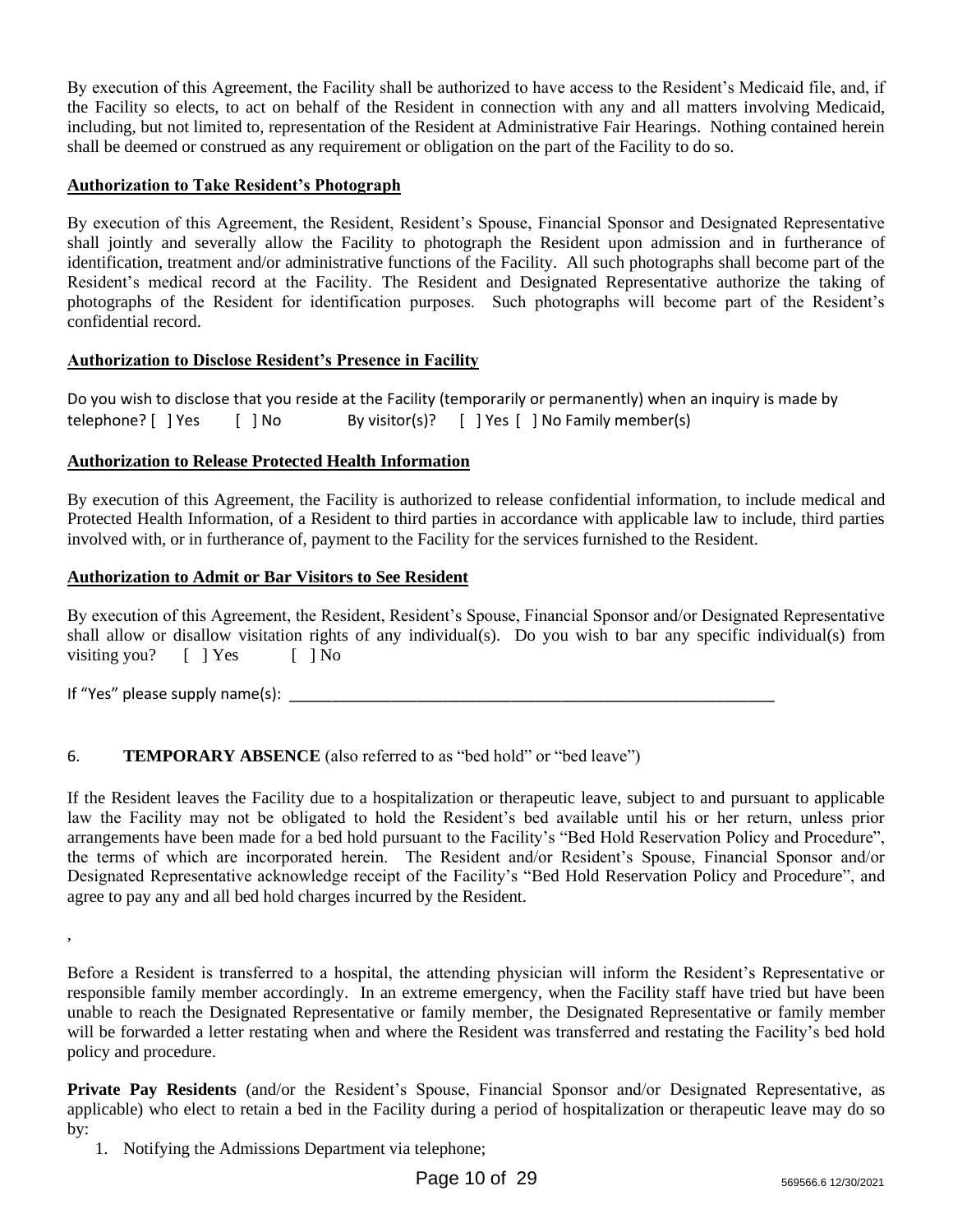By execution of this Agreement, the Facility shall be authorized to have access to the Resident's Medicaid file, and, if the Facility so elects, to act on behalf of the Resident in connection with any and all matters involving Medicaid, including, but not limited to, representation of the Resident at Administrative Fair Hearings. Nothing contained herein shall be deemed or construed as any requirement or obligation on the part of the Facility to do so.

## **Authorization to Take Resident's Photograph**

By execution of this Agreement, the Resident, Resident's Spouse, Financial Sponsor and Designated Representative shall jointly and severally allow the Facility to photograph the Resident upon admission and in furtherance of identification, treatment and/or administrative functions of the Facility. All such photographs shall become part of the Resident's medical record at the Facility. The Resident and Designated Representative authorize the taking of photographs of the Resident for identification purposes. Such photographs will become part of the Resident's confidential record.

## **Authorization to Disclose Resident's Presence in Facility**

Do you wish to disclose that you reside at the Facility (temporarily or permanently) when an inquiry is made by telephone? [ ] Yes [ ] No By visitor(s)? [ ] Yes [ ] No Family member(s)

## **Authorization to Release Protected Health Information**

By execution of this Agreement, the Facility is authorized to release confidential information, to include medical and Protected Health Information, of a Resident to third parties in accordance with applicable law to include, third parties involved with, or in furtherance of, payment to the Facility for the services furnished to the Resident.

## **Authorization to Admit or Bar Visitors to See Resident**

By execution of this Agreement, the Resident, Resident's Spouse, Financial Sponsor and/or Designated Representative shall allow or disallow visitation rights of any individual(s). Do you wish to bar any specific individual(s) from visiting you?  $[ ]$   $]$   $Y$ es  $[ ]$   $]$  No

If "Yes" please supply name(s):  $\blacksquare$ 

# 6. **TEMPORARY ABSENCE** (also referred to as "bed hold" or "bed leave")

If the Resident leaves the Facility due to a hospitalization or therapeutic leave, subject to and pursuant to applicable law the Facility may not be obligated to hold the Resident's bed available until his or her return, unless prior arrangements have been made for a bed hold pursuant to the Facility's "Bed Hold Reservation Policy and Procedure", the terms of which are incorporated herein. The Resident and/or Resident's Spouse, Financial Sponsor and/or Designated Representative acknowledge receipt of the Facility's "Bed Hold Reservation Policy and Procedure", and agree to pay any and all bed hold charges incurred by the Resident.

Before a Resident is transferred to a hospital, the attending physician will inform the Resident's Representative or responsible family member accordingly. In an extreme emergency, when the Facility staff have tried but have been unable to reach the Designated Representative or family member, the Designated Representative or family member will be forwarded a letter restating when and where the Resident was transferred and restating the Facility's bed hold policy and procedure.

**Private Pay Residents** (and/or the Resident's Spouse, Financial Sponsor and/or Designated Representative, as applicable) who elect to retain a bed in the Facility during a period of hospitalization or therapeutic leave may do so by:

,

<sup>1.</sup> Notifying the Admissions Department via telephone;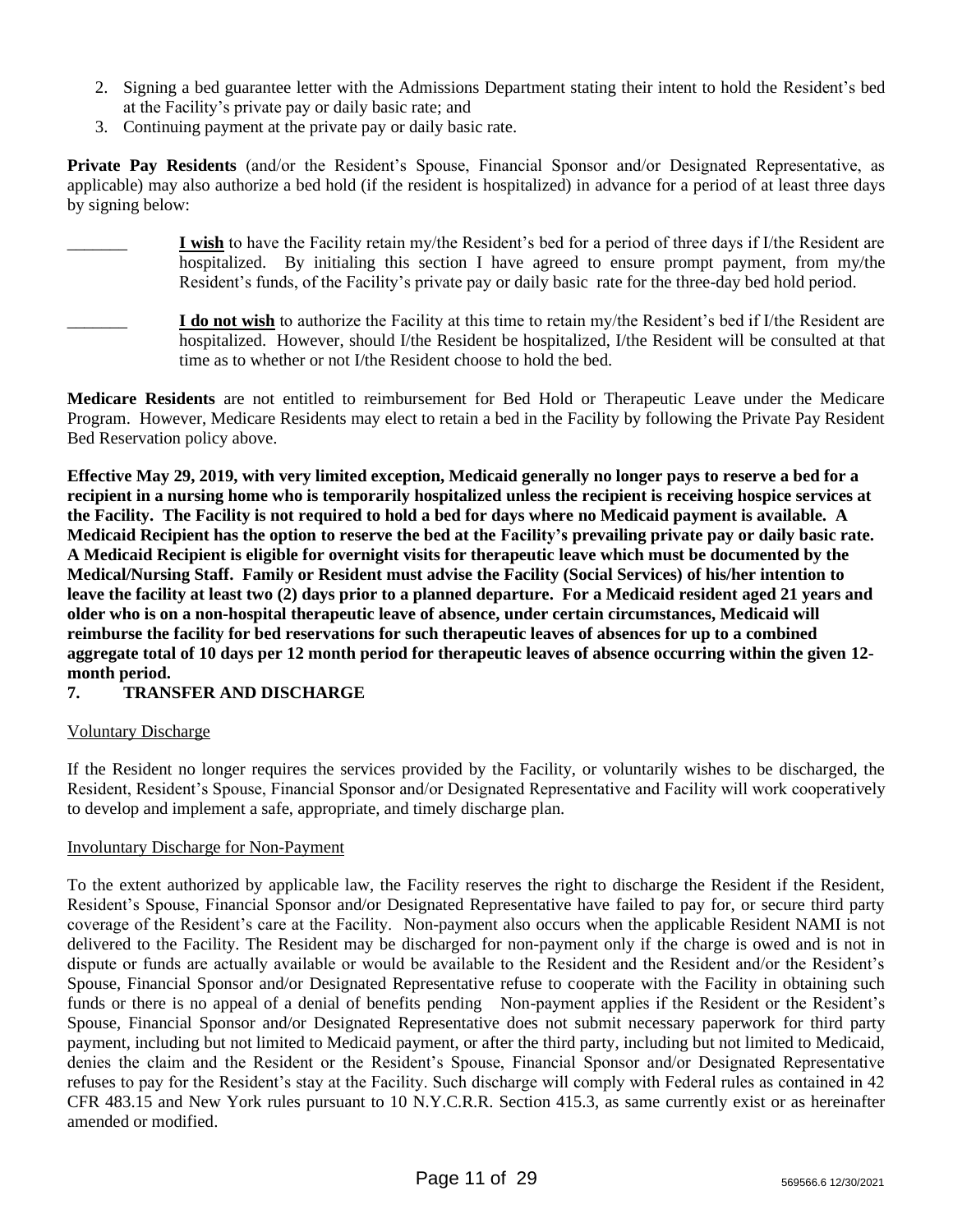- 2. Signing a bed guarantee letter with the Admissions Department stating their intent to hold the Resident's bed at the Facility's private pay or daily basic rate; and
- 3. Continuing payment at the private pay or daily basic rate.

**Private Pay Residents** (and/or the Resident's Spouse, Financial Sponsor and/or Designated Representative, as applicable) may also authorize a bed hold (if the resident is hospitalized) in advance for a period of at least three days by signing below:

I wish to have the Facility retain my/the Resident's bed for a period of three days if I/the Resident are hospitalized. By initialing this section I have agreed to ensure prompt payment, from my/the Resident's funds, of the Facility's private pay or daily basic rate for the three-day bed hold period.

\_\_\_\_\_\_\_ **I do not wish** to authorize the Facility at this time to retain my/the Resident's bed if I/the Resident are hospitalized. However, should I/the Resident be hospitalized, I/the Resident will be consulted at that time as to whether or not I/the Resident choose to hold the bed.

**Medicare Residents** are not entitled to reimbursement for Bed Hold or Therapeutic Leave under the Medicare Program. However, Medicare Residents may elect to retain a bed in the Facility by following the Private Pay Resident Bed Reservation policy above.

**Effective May 29, 2019, with very limited exception, Medicaid generally no longer pays to reserve a bed for a recipient in a nursing home who is temporarily hospitalized unless the recipient is receiving hospice services at the Facility. The Facility is not required to hold a bed for days where no Medicaid payment is available. A Medicaid Recipient has the option to reserve the bed at the Facility's prevailing private pay or daily basic rate. A Medicaid Recipient is eligible for overnight visits for therapeutic leave which must be documented by the Medical/Nursing Staff. Family or Resident must advise the Facility (Social Services) of his/her intention to leave the facility at least two (2) days prior to a planned departure. For a Medicaid resident aged 21 years and older who is on a non-hospital therapeutic leave of absence, under certain circumstances, Medicaid will reimburse the facility for bed reservations for such therapeutic leaves of absences for up to a combined aggregate total of 10 days per 12 month period for therapeutic leaves of absence occurring within the given 12 month period.**

# **7. TRANSFER AND DISCHARGE**

## Voluntary Discharge

If the Resident no longer requires the services provided by the Facility, or voluntarily wishes to be discharged, the Resident, Resident's Spouse, Financial Sponsor and/or Designated Representative and Facility will work cooperatively to develop and implement a safe, appropriate, and timely discharge plan.

## Involuntary Discharge for Non-Payment

To the extent authorized by applicable law, the Facility reserves the right to discharge the Resident if the Resident, Resident's Spouse, Financial Sponsor and/or Designated Representative have failed to pay for, or secure third party coverage of the Resident's care at the Facility. Non-payment also occurs when the applicable Resident NAMI is not delivered to the Facility. The Resident may be discharged for non-payment only if the charge is owed and is not in dispute or funds are actually available or would be available to the Resident and the Resident and/or the Resident's Spouse, Financial Sponsor and/or Designated Representative refuse to cooperate with the Facility in obtaining such funds or there is no appeal of a denial of benefits pending Non-payment applies if the Resident or the Resident's Spouse, Financial Sponsor and/or Designated Representative does not submit necessary paperwork for third party payment, including but not limited to Medicaid payment, or after the third party, including but not limited to Medicaid, denies the claim and the Resident or the Resident's Spouse, Financial Sponsor and/or Designated Representative refuses to pay for the Resident's stay at the Facility. Such discharge will comply with Federal rules as contained in 42 CFR 483.15 and New York rules pursuant to 10 N.Y.C.R.R. Section 415.3, as same currently exist or as hereinafter amended or modified.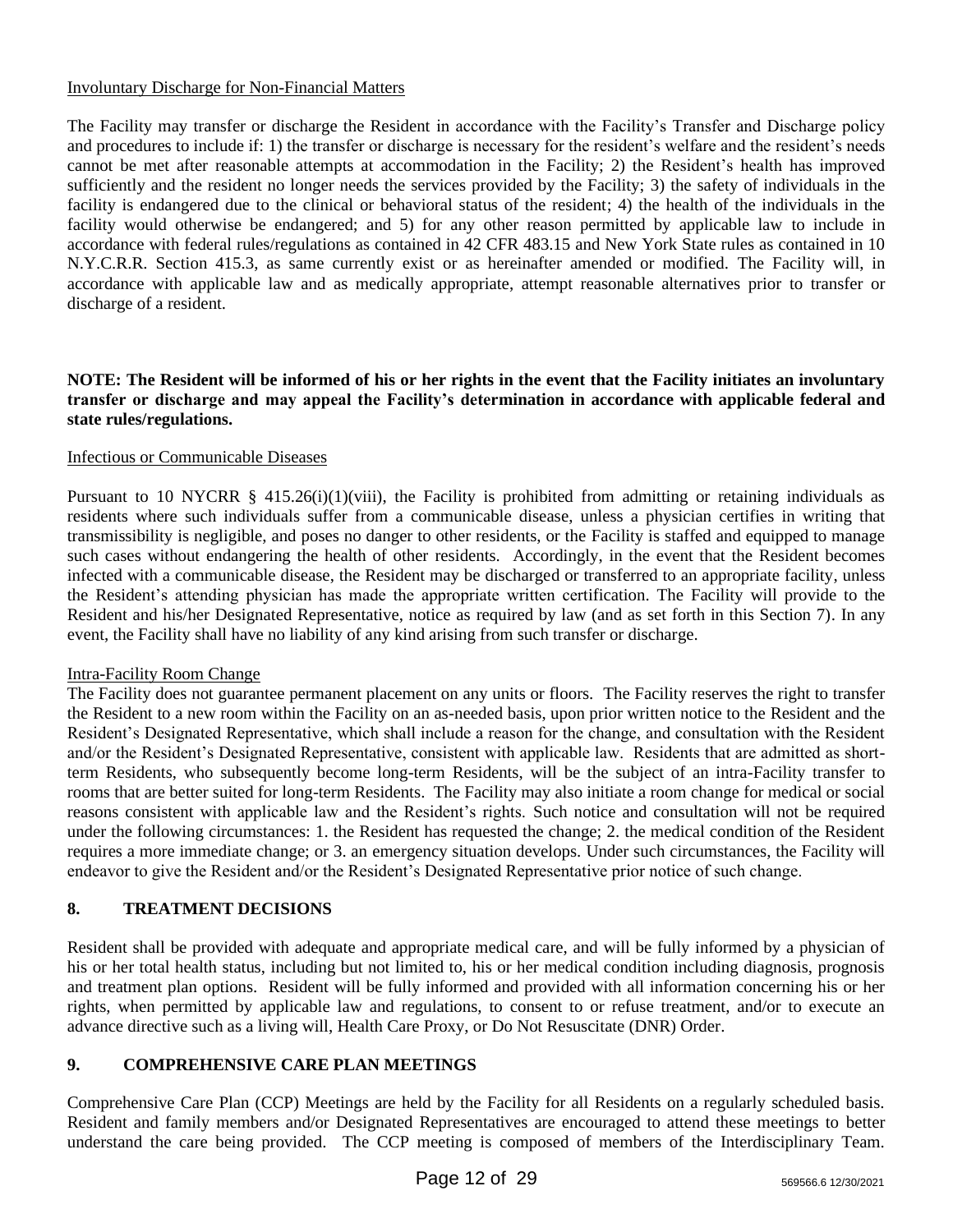## Involuntary Discharge for Non-Financial Matters

The Facility may transfer or discharge the Resident in accordance with the Facility's Transfer and Discharge policy and procedures to include if: 1) the transfer or discharge is necessary for the resident's welfare and the resident's needs cannot be met after reasonable attempts at accommodation in the Facility; 2) the Resident's health has improved sufficiently and the resident no longer needs the services provided by the Facility; 3) the safety of individuals in the facility is endangered due to the clinical or behavioral status of the resident; 4) the health of the individuals in the facility would otherwise be endangered; and 5) for any other reason permitted by applicable law to include in accordance with federal rules/regulations as contained in 42 CFR 483.15 and New York State rules as contained in 10 N.Y.C.R.R. Section 415.3, as same currently exist or as hereinafter amended or modified. The Facility will, in accordance with applicable law and as medically appropriate, attempt reasonable alternatives prior to transfer or discharge of a resident.

## **NOTE: The Resident will be informed of his or her rights in the event that the Facility initiates an involuntary transfer or discharge and may appeal the Facility's determination in accordance with applicable federal and state rules/regulations.**

## Infectious or Communicable Diseases

Pursuant to 10 NYCRR § 415.26(i)(1)(viii), the Facility is prohibited from admitting or retaining individuals as residents where such individuals suffer from a communicable disease, unless a physician certifies in writing that transmissibility is negligible, and poses no danger to other residents, or the Facility is staffed and equipped to manage such cases without endangering the health of other residents. Accordingly, in the event that the Resident becomes infected with a communicable disease, the Resident may be discharged or transferred to an appropriate facility, unless the Resident's attending physician has made the appropriate written certification. The Facility will provide to the Resident and his/her Designated Representative, notice as required by law (and as set forth in this Section 7). In any event, the Facility shall have no liability of any kind arising from such transfer or discharge.

#### Intra-Facility Room Change

The Facility does not guarantee permanent placement on any units or floors. The Facility reserves the right to transfer the Resident to a new room within the Facility on an as-needed basis, upon prior written notice to the Resident and the Resident's Designated Representative, which shall include a reason for the change, and consultation with the Resident and/or the Resident's Designated Representative, consistent with applicable law. Residents that are admitted as shortterm Residents, who subsequently become long-term Residents, will be the subject of an intra-Facility transfer to rooms that are better suited for long-term Residents. The Facility may also initiate a room change for medical or social reasons consistent with applicable law and the Resident's rights. Such notice and consultation will not be required under the following circumstances: 1. the Resident has requested the change; 2. the medical condition of the Resident requires a more immediate change; or 3. an emergency situation develops. Under such circumstances, the Facility will endeavor to give the Resident and/or the Resident's Designated Representative prior notice of such change.

## **8. TREATMENT DECISIONS**

Resident shall be provided with adequate and appropriate medical care, and will be fully informed by a physician of his or her total health status, including but not limited to, his or her medical condition including diagnosis, prognosis and treatment plan options. Resident will be fully informed and provided with all information concerning his or her rights, when permitted by applicable law and regulations, to consent to or refuse treatment, and/or to execute an advance directive such as a living will, Health Care Proxy, or Do Not Resuscitate (DNR) Order.

## **9. COMPREHENSIVE CARE PLAN MEETINGS**

Comprehensive Care Plan (CCP) Meetings are held by the Facility for all Residents on a regularly scheduled basis. Resident and family members and/or Designated Representatives are encouraged to attend these meetings to better understand the care being provided. The CCP meeting is composed of members of the Interdisciplinary Team.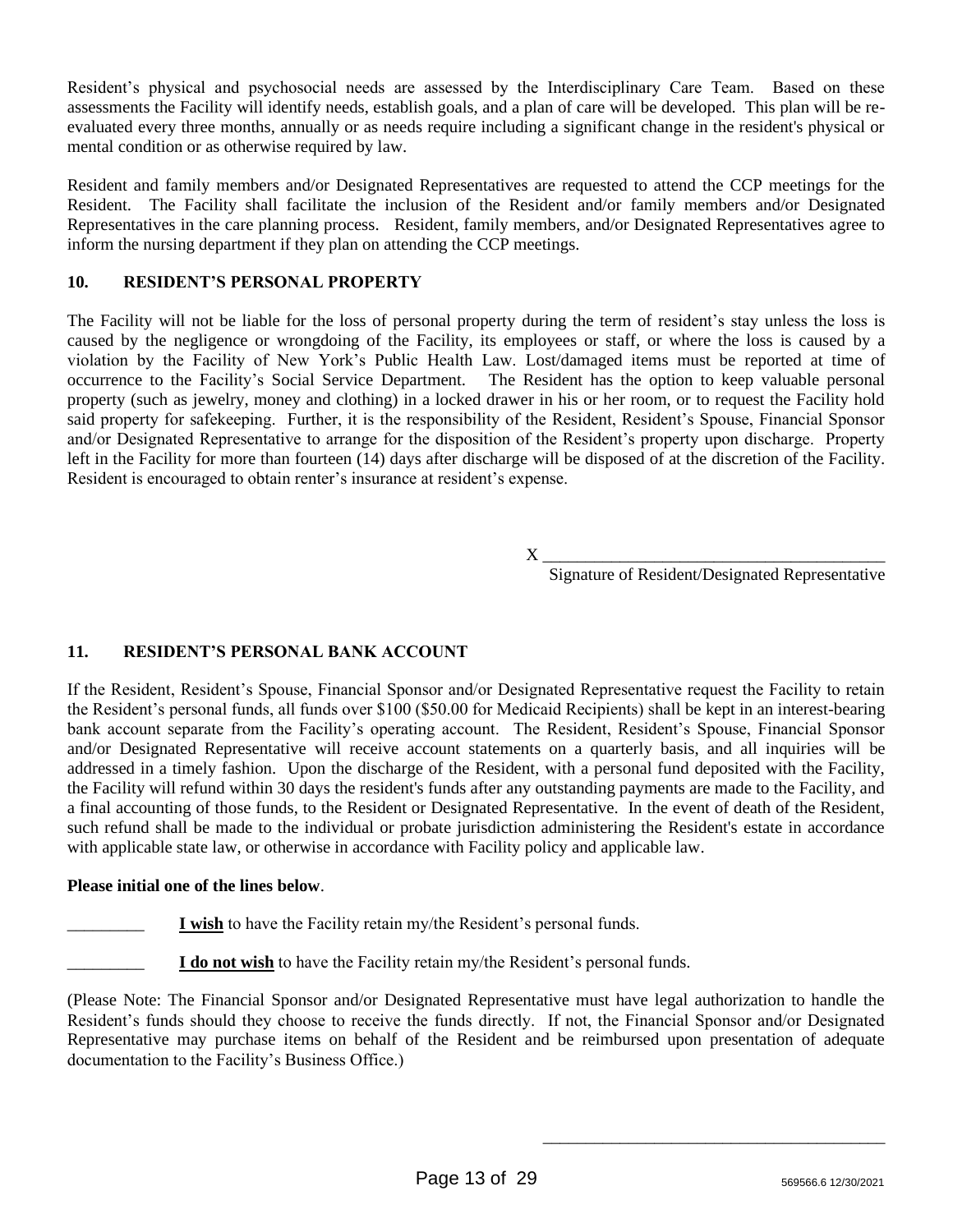Resident's physical and psychosocial needs are assessed by the Interdisciplinary Care Team. Based on these assessments the Facility will identify needs, establish goals, and a plan of care will be developed. This plan will be reevaluated every three months, annually or as needs require including a significant change in the resident's physical or mental condition or as otherwise required by law.

Resident and family members and/or Designated Representatives are requested to attend the CCP meetings for the Resident. The Facility shall facilitate the inclusion of the Resident and/or family members and/or Designated Representatives in the care planning process. Resident, family members, and/or Designated Representatives agree to inform the nursing department if they plan on attending the CCP meetings.

# **10. RESIDENT'S PERSONAL PROPERTY**

The Facility will not be liable for the loss of personal property during the term of resident's stay unless the loss is caused by the negligence or wrongdoing of the Facility, its employees or staff, or where the loss is caused by a violation by the Facility of New York's Public Health Law. Lost/damaged items must be reported at time of occurrence to the Facility's Social Service Department. The Resident has the option to keep valuable personal property (such as jewelry, money and clothing) in a locked drawer in his or her room, or to request the Facility hold said property for safekeeping. Further, it is the responsibility of the Resident, Resident's Spouse, Financial Sponsor and/or Designated Representative to arrange for the disposition of the Resident's property upon discharge. Property left in the Facility for more than fourteen (14) days after discharge will be disposed of at the discretion of the Facility. Resident is encouraged to obtain renter's insurance at resident's expense.

 $X \_$ 

Signature of Resident/Designated Representative

\_\_\_\_\_\_\_\_\_\_\_\_\_\_\_\_\_\_\_\_\_\_\_\_\_\_\_\_\_\_\_\_\_\_\_\_\_\_\_\_

# **11. RESIDENT'S PERSONAL BANK ACCOUNT**

If the Resident, Resident's Spouse, Financial Sponsor and/or Designated Representative request the Facility to retain the Resident's personal funds, all funds over \$100 (\$50.00 for Medicaid Recipients) shall be kept in an interest-bearing bank account separate from the Facility's operating account. The Resident, Resident's Spouse, Financial Sponsor and/or Designated Representative will receive account statements on a quarterly basis, and all inquiries will be addressed in a timely fashion. Upon the discharge of the Resident, with a personal fund deposited with the Facility, the Facility will refund within 30 days the resident's funds after any outstanding payments are made to the Facility, and a final accounting of those funds, to the Resident or Designated Representative. In the event of death of the Resident, such refund shall be made to the individual or probate jurisdiction administering the Resident's estate in accordance with applicable state law, or otherwise in accordance with Facility policy and applicable law.

# **Please initial one of the lines below**.

\_\_\_\_\_\_\_\_\_ **I wish** to have the Facility retain my/the Resident's personal funds.

\_\_\_\_\_\_\_\_\_ **I do not wish** to have the Facility retain my/the Resident's personal funds.

(Please Note: The Financial Sponsor and/or Designated Representative must have legal authorization to handle the Resident's funds should they choose to receive the funds directly. If not, the Financial Sponsor and/or Designated Representative may purchase items on behalf of the Resident and be reimbursed upon presentation of adequate documentation to the Facility's Business Office.)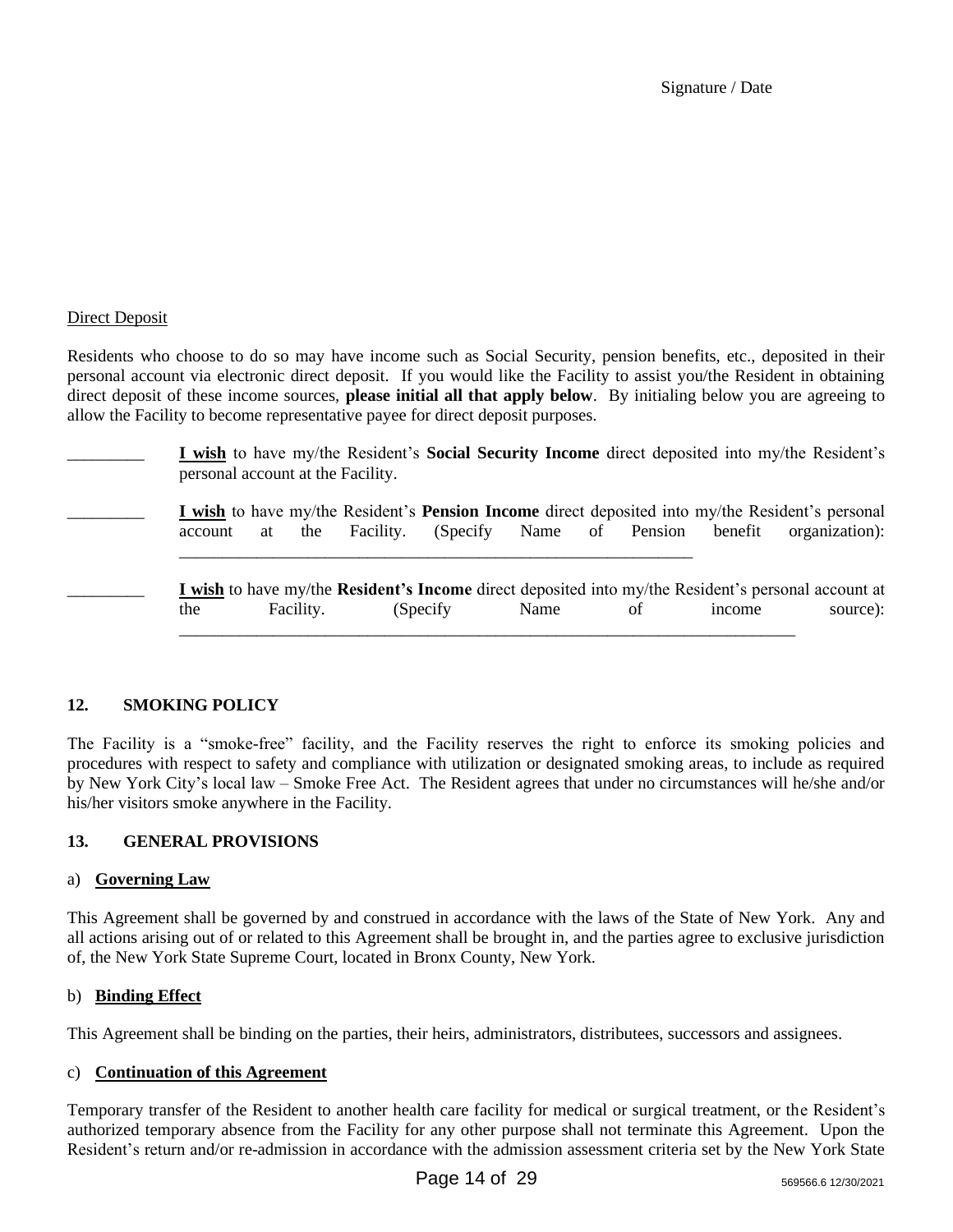Signature / Date

## Direct Deposit

Residents who choose to do so may have income such as Social Security, pension benefits, etc., deposited in their personal account via electronic direct deposit. If you would like the Facility to assist you/the Resident in obtaining direct deposit of these income sources, **please initial all that apply below**. By initialing below you are agreeing to allow the Facility to become representative payee for direct deposit purposes.

\_\_\_\_\_\_\_\_\_ **I wish** to have my/the Resident's **Social Security Income** direct deposited into my/the Resident's personal account at the Facility.

\_\_\_\_\_\_\_\_\_ **I wish** to have my/the Resident's **Pension Income** direct deposited into my/the Resident's personal account at the Facility. (Specify Name of Pension benefit organization):

\_\_\_\_\_\_\_\_\_\_\_\_\_\_\_\_\_\_\_\_\_\_\_\_\_\_\_\_\_\_\_\_\_\_\_\_\_\_\_\_\_\_\_\_\_\_\_\_\_\_\_\_\_\_\_\_\_\_\_\_

\_\_\_\_\_\_\_\_\_ **I wish** to have my/the **Resident's Income** direct deposited into my/the Resident's personal account at the Facility. (Specify Name of income source): \_\_\_\_\_\_\_\_\_\_\_\_\_\_\_\_\_\_\_\_\_\_\_\_\_\_\_\_\_\_\_\_\_\_\_\_\_\_\_\_\_\_\_\_\_\_\_\_\_\_\_\_\_\_\_\_\_\_\_\_\_\_\_\_\_\_\_\_\_\_\_\_

# **12. SMOKING POLICY**

The Facility is a "smoke-free" facility, and the Facility reserves the right to enforce its smoking policies and procedures with respect to safety and compliance with utilization or designated smoking areas, to include as required by New York City's local law – Smoke Free Act. The Resident agrees that under no circumstances will he/she and/or his/her visitors smoke anywhere in the Facility.

# **13. GENERAL PROVISIONS**

## a) **Governing Law**

This Agreement shall be governed by and construed in accordance with the laws of the State of New York. Any and all actions arising out of or related to this Agreement shall be brought in, and the parties agree to exclusive jurisdiction of, the New York State Supreme Court, located in Bronx County, New York.

## b) **Binding Effect**

This Agreement shall be binding on the parties, their heirs, administrators, distributees, successors and assignees.

## c) **Continuation of this Agreement**

Temporary transfer of the Resident to another health care facility for medical or surgical treatment, or the Resident's authorized temporary absence from the Facility for any other purpose shall not terminate this Agreement. Upon the Resident's return and/or re-admission in accordance with the admission assessment criteria set by the New York State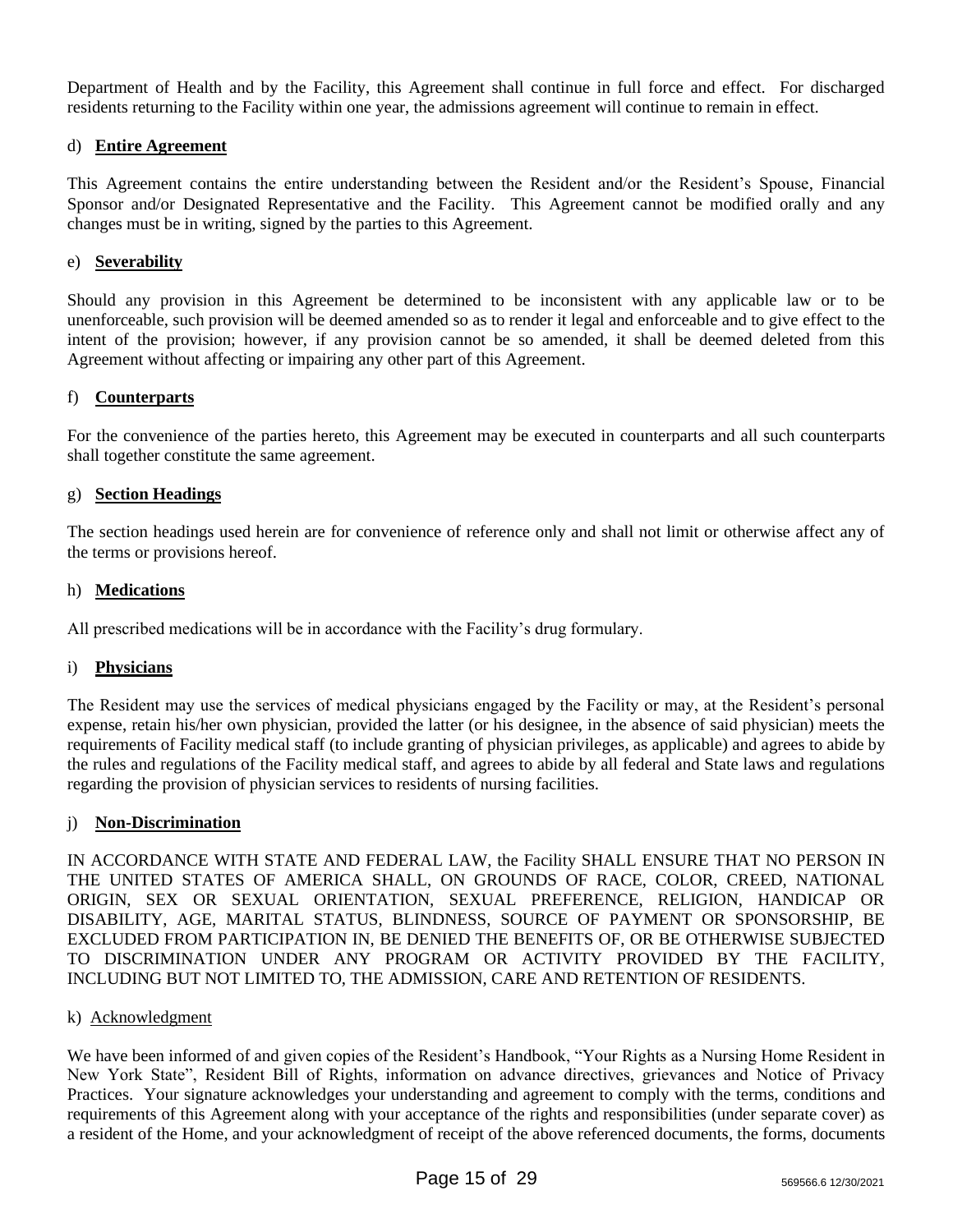Department of Health and by the Facility, this Agreement shall continue in full force and effect. For discharged residents returning to the Facility within one year, the admissions agreement will continue to remain in effect.

## d) **Entire Agreement**

This Agreement contains the entire understanding between the Resident and/or the Resident's Spouse, Financial Sponsor and/or Designated Representative and the Facility. This Agreement cannot be modified orally and any changes must be in writing, signed by the parties to this Agreement.

## e) **Severability**

Should any provision in this Agreement be determined to be inconsistent with any applicable law or to be unenforceable, such provision will be deemed amended so as to render it legal and enforceable and to give effect to the intent of the provision; however, if any provision cannot be so amended, it shall be deemed deleted from this Agreement without affecting or impairing any other part of this Agreement.

## f) **Counterparts**

For the convenience of the parties hereto, this Agreement may be executed in counterparts and all such counterparts shall together constitute the same agreement.

## g) **Section Headings**

The section headings used herein are for convenience of reference only and shall not limit or otherwise affect any of the terms or provisions hereof.

## h) **Medications**

All prescribed medications will be in accordance with the Facility's drug formulary.

## i) **Physicians**

The Resident may use the services of medical physicians engaged by the Facility or may, at the Resident's personal expense, retain his/her own physician, provided the latter (or his designee, in the absence of said physician) meets the requirements of Facility medical staff (to include granting of physician privileges, as applicable) and agrees to abide by the rules and regulations of the Facility medical staff, and agrees to abide by all federal and State laws and regulations regarding the provision of physician services to residents of nursing facilities.

## j) **Non-Discrimination**

IN ACCORDANCE WITH STATE AND FEDERAL LAW, the Facility SHALL ENSURE THAT NO PERSON IN THE UNITED STATES OF AMERICA SHALL, ON GROUNDS OF RACE, COLOR, CREED, NATIONAL ORIGIN, SEX OR SEXUAL ORIENTATION, SEXUAL PREFERENCE, RELIGION, HANDICAP OR DISABILITY, AGE, MARITAL STATUS, BLINDNESS, SOURCE OF PAYMENT OR SPONSORSHIP, BE EXCLUDED FROM PARTICIPATION IN, BE DENIED THE BENEFITS OF, OR BE OTHERWISE SUBJECTED TO DISCRIMINATION UNDER ANY PROGRAM OR ACTIVITY PROVIDED BY THE FACILITY, INCLUDING BUT NOT LIMITED TO, THE ADMISSION, CARE AND RETENTION OF RESIDENTS.

## k) Acknowledgment

We have been informed of and given copies of the Resident's Handbook, "Your Rights as a Nursing Home Resident in New York State", Resident Bill of Rights, information on advance directives, grievances and Notice of Privacy Practices. Your signature acknowledges your understanding and agreement to comply with the terms, conditions and requirements of this Agreement along with your acceptance of the rights and responsibilities (under separate cover) as a resident of the Home, and your acknowledgment of receipt of the above referenced documents, the forms, documents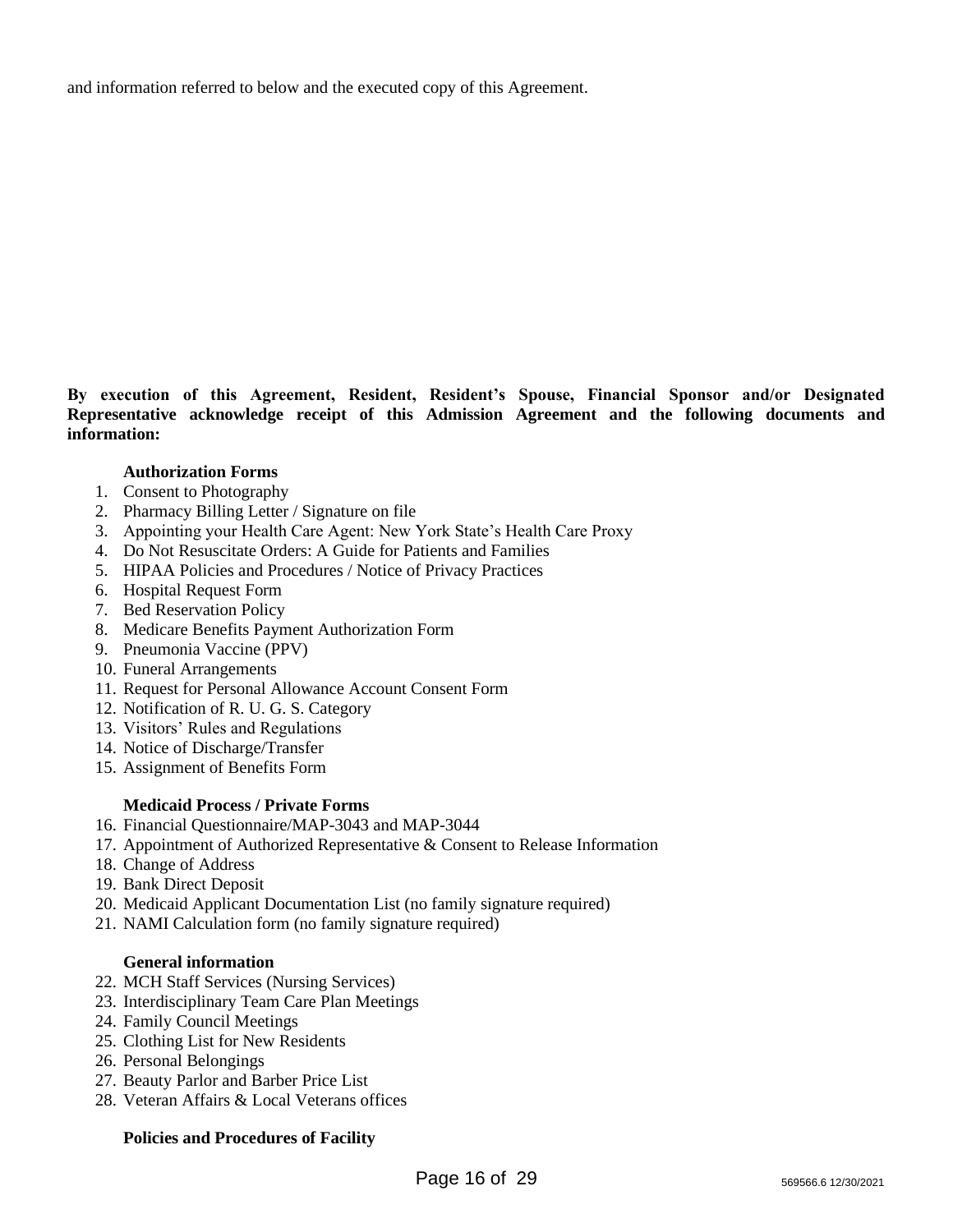and information referred to below and the executed copy of this Agreement.

**By execution of this Agreement, Resident, Resident's Spouse, Financial Sponsor and/or Designated Representative acknowledge receipt of this Admission Agreement and the following documents and information:**

## **Authorization Forms**

- 1. Consent to Photography
- 2. Pharmacy Billing Letter / Signature on file
- 3. Appointing your Health Care Agent: New York State's Health Care Proxy
- 4. Do Not Resuscitate Orders: A Guide for Patients and Families
- 5. HIPAA Policies and Procedures / Notice of Privacy Practices
- 6. Hospital Request Form
- 7. Bed Reservation Policy
- 8. Medicare Benefits Payment Authorization Form
- 9. Pneumonia Vaccine (PPV)
- 10. Funeral Arrangements
- 11. Request for Personal Allowance Account Consent Form
- 12. Notification of R. U. G. S. Category
- 13. Visitors' Rules and Regulations
- 14. Notice of Discharge/Transfer
- 15. Assignment of Benefits Form

#### **Medicaid Process / Private Forms**

- 16. Financial Questionnaire/MAP-3043 and MAP-3044
- 17. Appointment of Authorized Representative & Consent to Release Information
- 18. Change of Address
- 19. Bank Direct Deposit
- 20. Medicaid Applicant Documentation List (no family signature required)
- 21. NAMI Calculation form (no family signature required)

## **General information**

- 22. MCH Staff Services (Nursing Services)
- 23. Interdisciplinary Team Care Plan Meetings
- 24. Family Council Meetings
- 25. Clothing List for New Residents
- 26. Personal Belongings
- 27. Beauty Parlor and Barber Price List
- 28. Veteran Affairs & Local Veterans offices

#### **Policies and Procedures of Facility**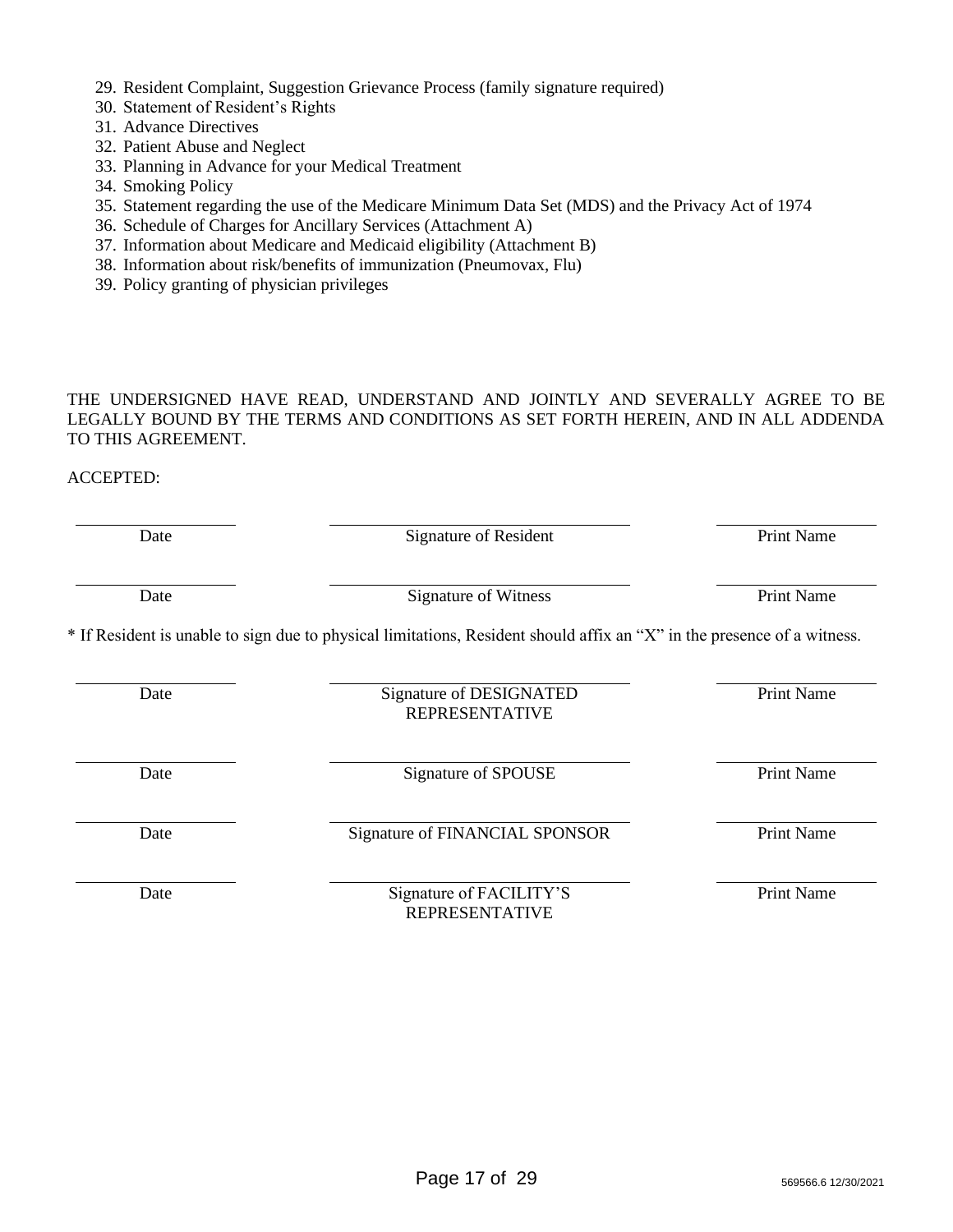- 29. Resident Complaint, Suggestion Grievance Process (family signature required)
- 30. Statement of Resident's Rights
- 31. Advance Directives
- 32. Patient Abuse and Neglect
- 33. Planning in Advance for your Medical Treatment
- 34. Smoking Policy
- 35. Statement regarding the use of the Medicare Minimum Data Set (MDS) and the Privacy Act of 1974
- 36. Schedule of Charges for Ancillary Services (Attachment A)
- 37. Information about Medicare and Medicaid eligibility (Attachment B)
- 38. Information about risk/benefits of immunization (Pneumovax, Flu)
- 39. Policy granting of physician privileges

THE UNDERSIGNED HAVE READ, UNDERSTAND AND JOINTLY AND SEVERALLY AGREE TO BE LEGALLY BOUND BY THE TERMS AND CONDITIONS AS SET FORTH HEREIN, AND IN ALL ADDENDA TO THIS AGREEMENT.

## ACCEPTED:

| Date | Signature of Resident                                                                                                   | <b>Print Name</b><br><b>Print Name</b> |  |
|------|-------------------------------------------------------------------------------------------------------------------------|----------------------------------------|--|
| Date | <b>Signature of Witness</b>                                                                                             |                                        |  |
|      | * If Resident is unable to sign due to physical limitations, Resident should affix an "X" in the presence of a witness. |                                        |  |
| Date | Signature of DESIGNATED<br><b>REPRESENTATIVE</b>                                                                        | <b>Print Name</b>                      |  |
| Date | Signature of SPOUSE                                                                                                     | <b>Print Name</b>                      |  |
| Date | Signature of FINANCIAL SPONSOR                                                                                          | <b>Print Name</b>                      |  |
| Date | Signature of FACILITY'S<br><b>REPRESENTATIVE</b>                                                                        | <b>Print Name</b>                      |  |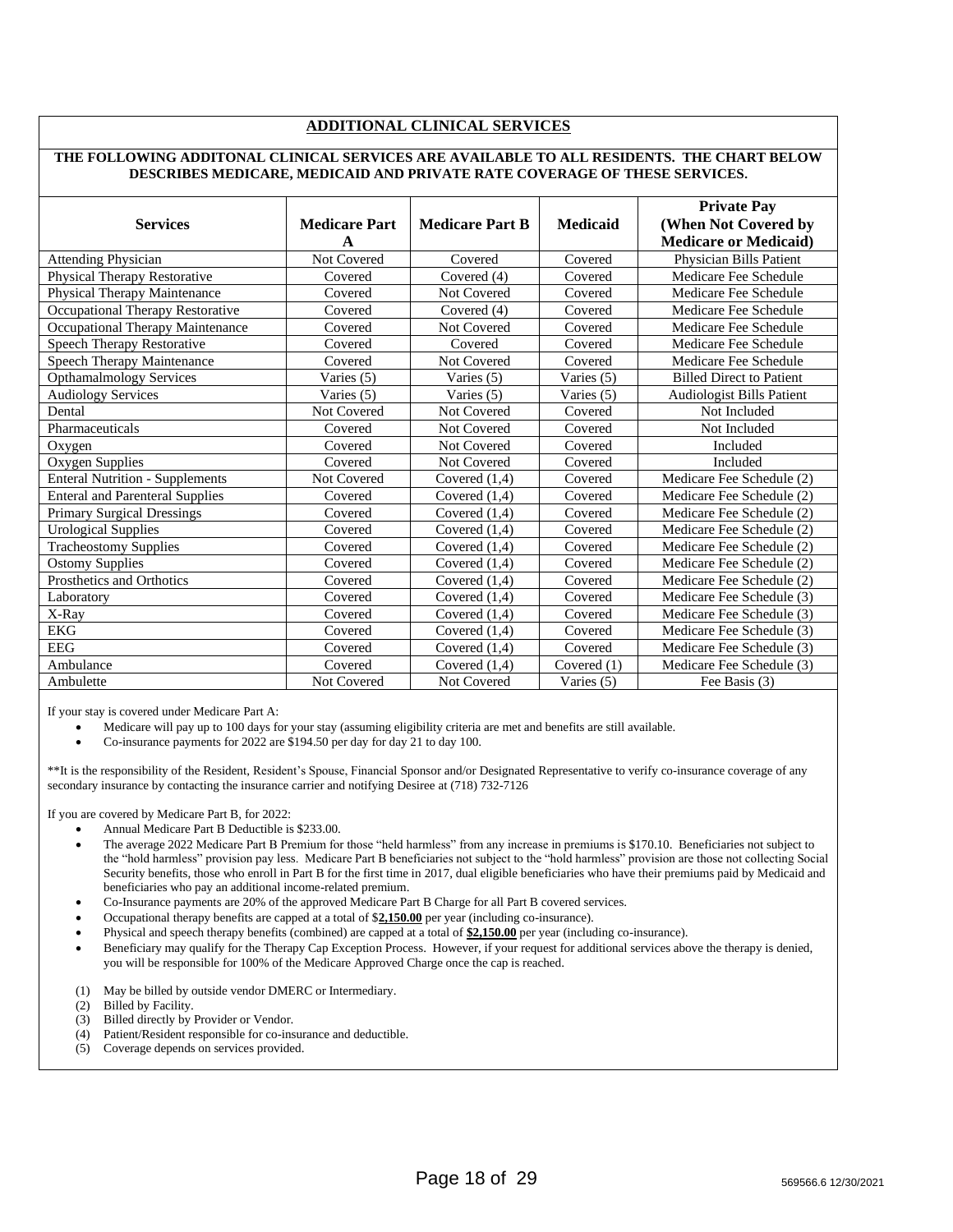#### **ADDITIONAL CLINICAL SERVICES**

#### **THE FOLLOWING ADDITONAL CLINICAL SERVICES ARE AVAILABLE TO ALL RESIDENTS. THE CHART BELOW DESCRIBES MEDICARE, MEDICAID AND PRIVATE RATE COVERAGE OF THESE SERVICES.**

| <b>Services</b>                        | <b>Medicare Part</b><br>A | <b>Medicare Part B</b> | <b>Medicaid</b> | <b>Private Pay</b><br>(When Not Covered by<br><b>Medicare or Medicaid)</b> |
|----------------------------------------|---------------------------|------------------------|-----------------|----------------------------------------------------------------------------|
| <b>Attending Physician</b>             | Not Covered               | Covered                | Covered         | Physician Bills Patient                                                    |
| Physical Therapy Restorative           | Covered                   | Covered (4)            | Covered         | Medicare Fee Schedule                                                      |
| Physical Therapy Maintenance           | Covered                   | Not Covered            | Covered         | Medicare Fee Schedule                                                      |
| Occupational Therapy Restorative       | Covered                   | Covered (4)            | Covered         | Medicare Fee Schedule                                                      |
| Occupational Therapy Maintenance       | Covered                   | Not Covered            | Covered         | Medicare Fee Schedule                                                      |
| Speech Therapy Restorative             | Covered                   | Covered                | Covered         | Medicare Fee Schedule                                                      |
| Speech Therapy Maintenance             | Covered                   | <b>Not Covered</b>     | Covered         | Medicare Fee Schedule                                                      |
| <b>Opthamalmology Services</b>         | Varies (5)                | Varies (5)             | Varies (5)      | <b>Billed Direct to Patient</b>                                            |
| <b>Audiology Services</b>              | Varies (5)                | Varies (5)             | Varies (5)      | <b>Audiologist Bills Patient</b>                                           |
| Dental                                 | Not Covered               | Not Covered            | Covered         | Not Included                                                               |
| Pharmaceuticals                        | Covered                   | Not Covered            | Covered         | Not Included                                                               |
| Oxygen                                 | Covered                   | Not Covered            | Covered         | Included                                                                   |
| Oxygen Supplies                        | Covered                   | Not Covered            | Covered         | Included                                                                   |
| <b>Enteral Nutrition - Supplements</b> | Not Covered               | Covered $(1,4)$        | Covered         | Medicare Fee Schedule (2)                                                  |
| <b>Enteral and Parenteral Supplies</b> | Covered                   | Covered $(1.4)$        | Covered         | Medicare Fee Schedule (2)                                                  |
| <b>Primary Surgical Dressings</b>      | Covered                   | Covered $(1,4)$        | Covered         | Medicare Fee Schedule (2)                                                  |
| <b>Urological Supplies</b>             | Covered                   | Covered $(1,4)$        | Covered         | Medicare Fee Schedule (2)                                                  |
| <b>Tracheostomy Supplies</b>           | Covered                   | Covered $(1.4)$        | Covered         | Medicare Fee Schedule (2)                                                  |
| <b>Ostomy Supplies</b>                 | Covered                   | Covered $(1,4)$        | Covered         | Medicare Fee Schedule (2)                                                  |
| Prosthetics and Orthotics              | Covered                   | Covered $(1,4)$        | Covered         | Medicare Fee Schedule (2)                                                  |
| Laboratory                             | Covered                   | Covered $(1,4)$        | Covered         | Medicare Fee Schedule (3)                                                  |
| X-Ray                                  | Covered                   | Covered $(1,4)$        | Covered         | Medicare Fee Schedule (3)                                                  |
| <b>EKG</b>                             | Covered                   | Covered $(1,4)$        | Covered         | Medicare Fee Schedule (3)                                                  |
| <b>EEG</b>                             | Covered                   | Covered $(1,4)$        | Covered         | Medicare Fee Schedule (3)                                                  |
| Ambulance                              | Covered                   | Covered $(1,4)$        | Covered $(1)$   | Medicare Fee Schedule (3)                                                  |
| Ambulette                              | Not Covered               | Not Covered            | Varies (5)      | Fee Basis (3)                                                              |

If your stay is covered under Medicare Part A:

- Medicare will pay up to 100 days for your stay (assuming eligibility criteria are met and benefits are still available.
- Co-insurance payments for 2022 are \$194.50 per day for day 21 to day 100.

\*\*It is the responsibility of the Resident, Resident's Spouse, Financial Sponsor and/or Designated Representative to verify co-insurance coverage of any secondary insurance by contacting the insurance carrier and notifying Desiree at (718) 732-7126

If you are covered by Medicare Part B, for 2022:

- Annual Medicare Part B Deductible is \$233.00.
- The average 2022 Medicare Part B Premium for those "held harmless" from any increase in premiums is \$170.10. Beneficiaries not subject to the "hold harmless" provision pay less. Medicare Part B beneficiaries not subject to the "hold harmless" provision are those not collecting Social Security benefits, those who enroll in Part B for the first time in 2017, dual eligible beneficiaries who have their premiums paid by Medicaid and beneficiaries who pay an additional income-related premium.
- Co-Insurance payments are 20% of the approved Medicare Part B Charge for all Part B covered services.
- Occupational therapy benefits are capped at a total of \$**2,150.00** per year (including co-insurance).
- Physical and speech therapy benefits (combined) are capped at a total of **\$2,150.00** per year (including co-insurance).
- Beneficiary may qualify for the Therapy Cap Exception Process. However, if your request for additional services above the therapy is denied, you will be responsible for 100% of the Medicare Approved Charge once the cap is reached.
- (1) May be billed by outside vendor DMERC or Intermediary.
- (2) Billed by Facility.
- (3) Billed directly by Provider or Vendor.
- (4) Patient/Resident responsible for co-insurance and deductible.
- (5) Coverage depends on services provided.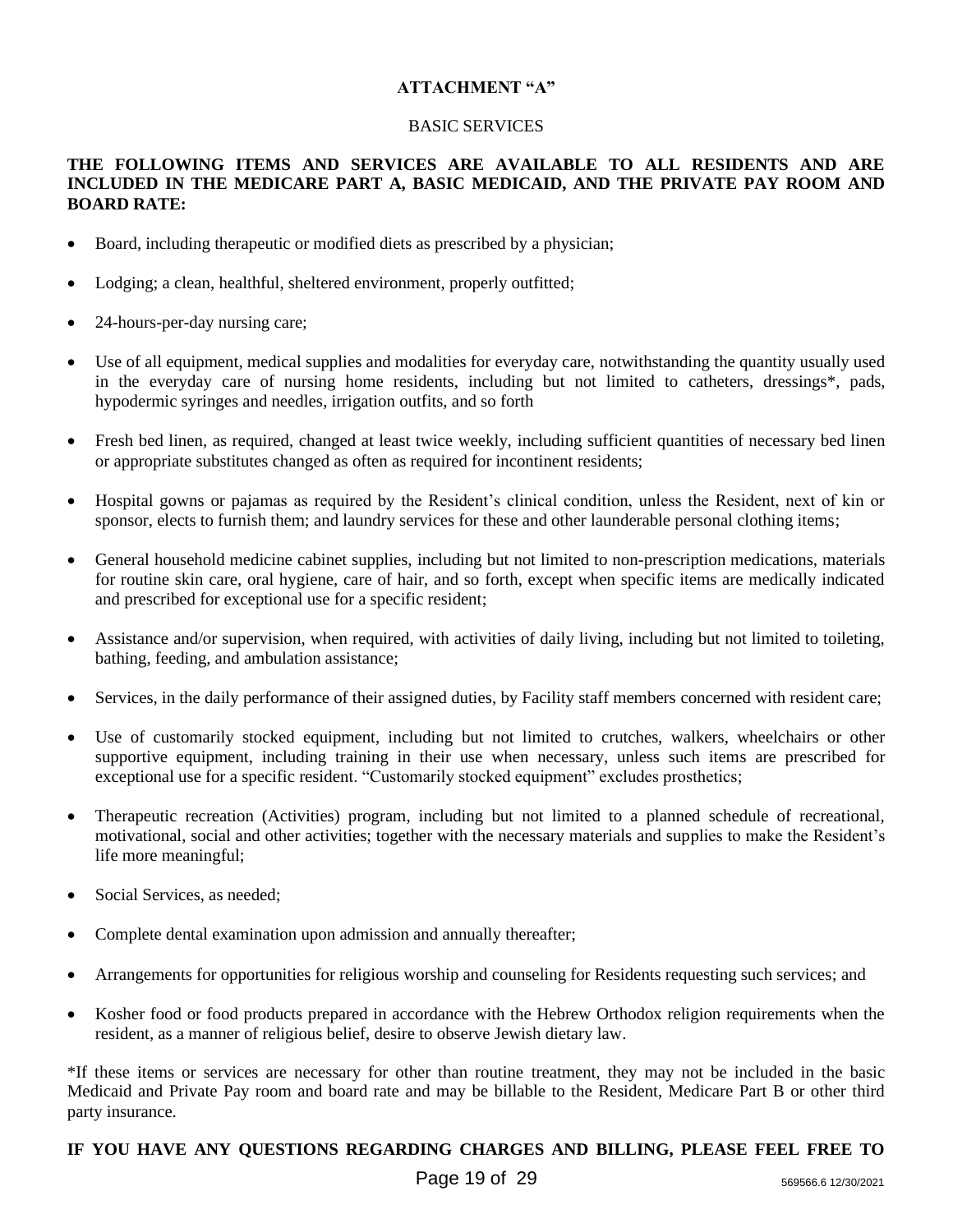## **ATTACHMENT "A"**

## BASIC SERVICES

## **THE FOLLOWING ITEMS AND SERVICES ARE AVAILABLE TO ALL RESIDENTS AND ARE INCLUDED IN THE MEDICARE PART A, BASIC MEDICAID, AND THE PRIVATE PAY ROOM AND BOARD RATE:**

- Board, including therapeutic or modified diets as prescribed by a physician;
- Lodging; a clean, healthful, sheltered environment, properly outfitted;
- 24-hours-per-day nursing care;
- Use of all equipment, medical supplies and modalities for everyday care, notwithstanding the quantity usually used in the everyday care of nursing home residents, including but not limited to catheters, dressings\*, pads, hypodermic syringes and needles, irrigation outfits, and so forth
- Fresh bed linen, as required, changed at least twice weekly, including sufficient quantities of necessary bed linen or appropriate substitutes changed as often as required for incontinent residents;
- Hospital gowns or pajamas as required by the Resident's clinical condition, unless the Resident, next of kin or sponsor, elects to furnish them; and laundry services for these and other launderable personal clothing items;
- General household medicine cabinet supplies, including but not limited to non-prescription medications, materials for routine skin care, oral hygiene, care of hair, and so forth, except when specific items are medically indicated and prescribed for exceptional use for a specific resident;
- Assistance and/or supervision, when required, with activities of daily living, including but not limited to toileting, bathing, feeding, and ambulation assistance;
- Services, in the daily performance of their assigned duties, by Facility staff members concerned with resident care;
- Use of customarily stocked equipment, including but not limited to crutches, walkers, wheelchairs or other supportive equipment, including training in their use when necessary, unless such items are prescribed for exceptional use for a specific resident. "Customarily stocked equipment" excludes prosthetics;
- Therapeutic recreation (Activities) program, including but not limited to a planned schedule of recreational, motivational, social and other activities; together with the necessary materials and supplies to make the Resident's life more meaningful;
- Social Services, as needed:
- Complete dental examination upon admission and annually thereafter;
- Arrangements for opportunities for religious worship and counseling for Residents requesting such services; and
- Kosher food or food products prepared in accordance with the Hebrew Orthodox religion requirements when the resident, as a manner of religious belief, desire to observe Jewish dietary law.

\*If these items or services are necessary for other than routine treatment, they may not be included in the basic Medicaid and Private Pay room and board rate and may be billable to the Resident, Medicare Part B or other third party insurance.

# **IF YOU HAVE ANY QUESTIONS REGARDING CHARGES AND BILLING, PLEASE FEEL FREE TO**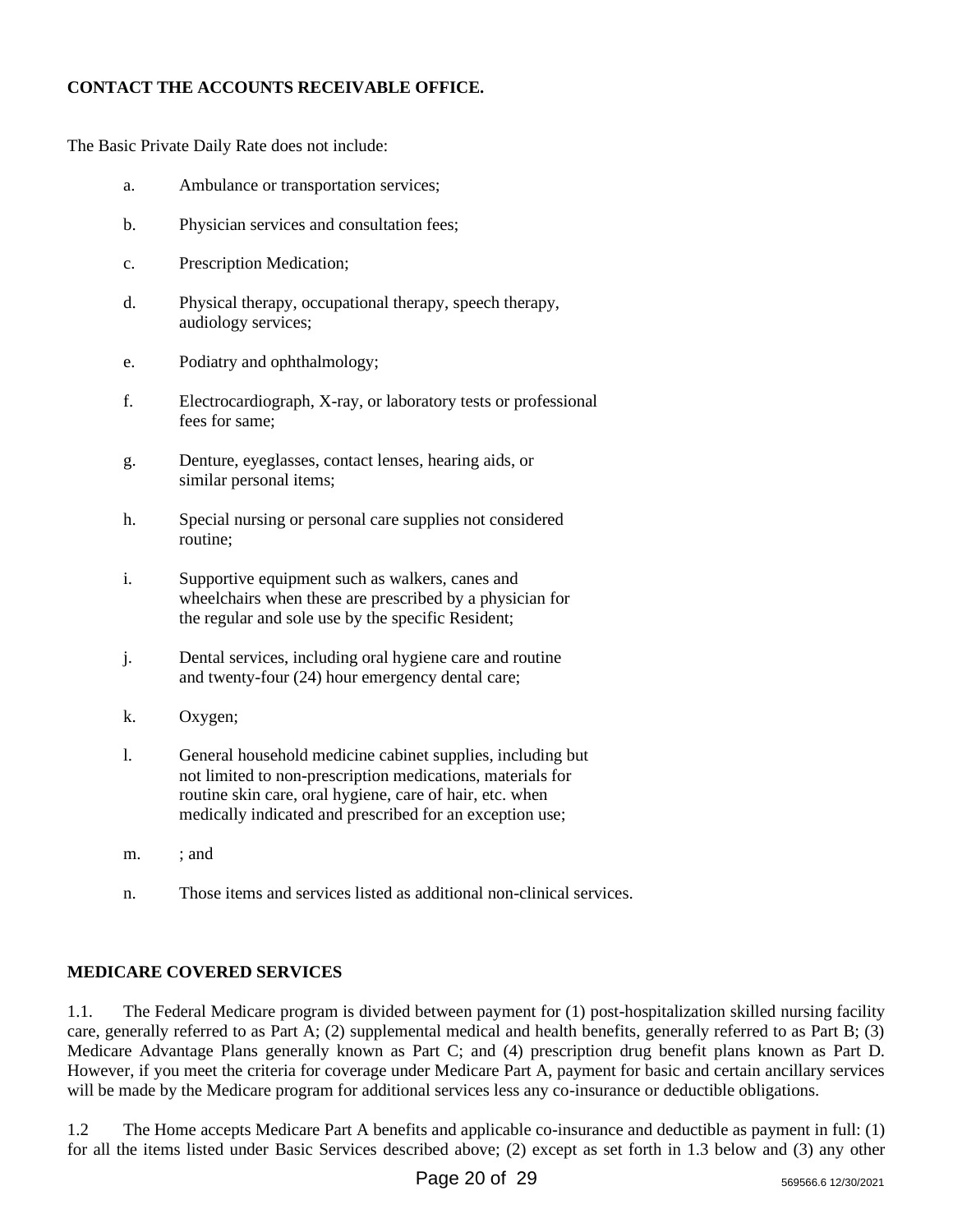# **CONTACT THE ACCOUNTS RECEIVABLE OFFICE.**

The Basic Private Daily Rate does not include:

- a. Ambulance or transportation services;
- b. Physician services and consultation fees;
- c. Prescription Medication;
- d. Physical therapy, occupational therapy, speech therapy, audiology services;
- e. Podiatry and ophthalmology;
- f. Electrocardiograph, X-ray, or laboratory tests or professional fees for same;
- g. Denture, eyeglasses, contact lenses, hearing aids, or similar personal items;
- h. Special nursing or personal care supplies not considered routine;
- i. Supportive equipment such as walkers, canes and wheelchairs when these are prescribed by a physician for the regular and sole use by the specific Resident;
- j. Dental services, including oral hygiene care and routine and twenty-four (24) hour emergency dental care;
- k. Oxygen;
- l. General household medicine cabinet supplies, including but not limited to non-prescription medications, materials for routine skin care, oral hygiene, care of hair, etc. when medically indicated and prescribed for an exception use;
- m. ; and
- n. Those items and services listed as additional non-clinical services.

# **MEDICARE COVERED SERVICES**

1.1. The Federal Medicare program is divided between payment for (1) post-hospitalization skilled nursing facility care, generally referred to as Part A; (2) supplemental medical and health benefits, generally referred to as Part B; (3) Medicare Advantage Plans generally known as Part C; and (4) prescription drug benefit plans known as Part D. However, if you meet the criteria for coverage under Medicare Part A, payment for basic and certain ancillary services will be made by the Medicare program for additional services less any co-insurance or deductible obligations.

1.2 The Home accepts Medicare Part A benefits and applicable co-insurance and deductible as payment in full: (1) for all the items listed under Basic Services described above; (2) except as set forth in 1.3 below and (3) any other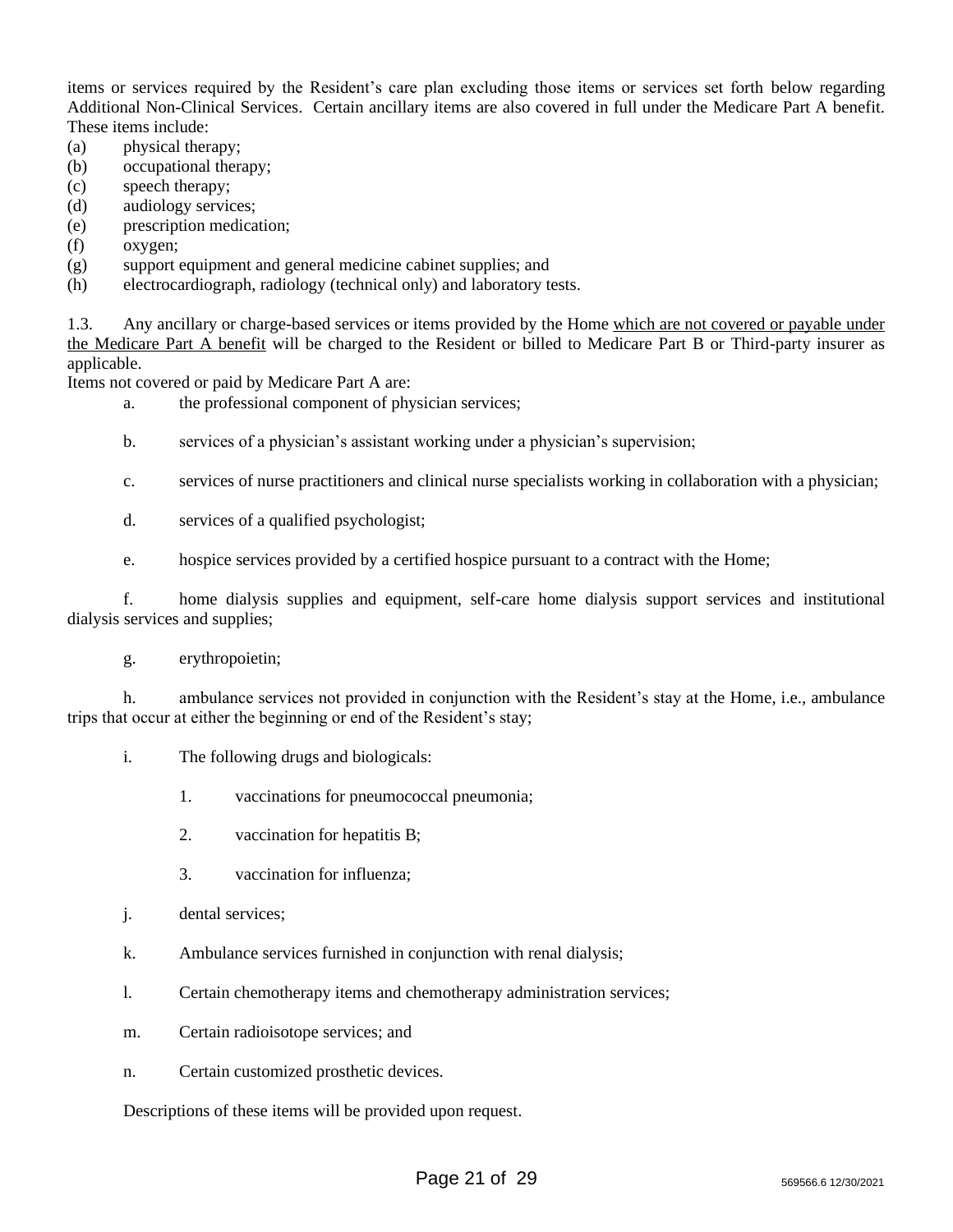items or services required by the Resident's care plan excluding those items or services set forth below regarding Additional Non-Clinical Services. Certain ancillary items are also covered in full under the Medicare Part A benefit. These items include:

- (a) physical therapy;
- (b) occupational therapy;
- (c) speech therapy;
- (d) audiology services;
- (e) prescription medication;
- (f) oxygen;
- (g) support equipment and general medicine cabinet supplies; and
- (h) electrocardiograph, radiology (technical only) and laboratory tests.

1.3. Any ancillary or charge-based services or items provided by the Home which are not covered or payable under the Medicare Part A benefit will be charged to the Resident or billed to Medicare Part B or Third-party insurer as applicable.

Items not covered or paid by Medicare Part A are:

- a. the professional component of physician services;
- b. services of a physician's assistant working under a physician's supervision;
- c. services of nurse practitioners and clinical nurse specialists working in collaboration with a physician;
- d. services of a qualified psychologist;
- e. hospice services provided by a certified hospice pursuant to a contract with the Home;

f. home dialysis supplies and equipment, self-care home dialysis support services and institutional dialysis services and supplies;

g. erythropoietin;

h. ambulance services not provided in conjunction with the Resident's stay at the Home, i.e., ambulance trips that occur at either the beginning or end of the Resident's stay;

- i. The following drugs and biologicals:
	- 1. vaccinations for pneumococcal pneumonia;
	- 2. vaccination for hepatitis B;
	- 3. vaccination for influenza;
- j. dental services;
- k. Ambulance services furnished in conjunction with renal dialysis;
- l. Certain chemotherapy items and chemotherapy administration services;
- m. Certain radioisotope services; and
- n. Certain customized prosthetic devices.

Descriptions of these items will be provided upon request.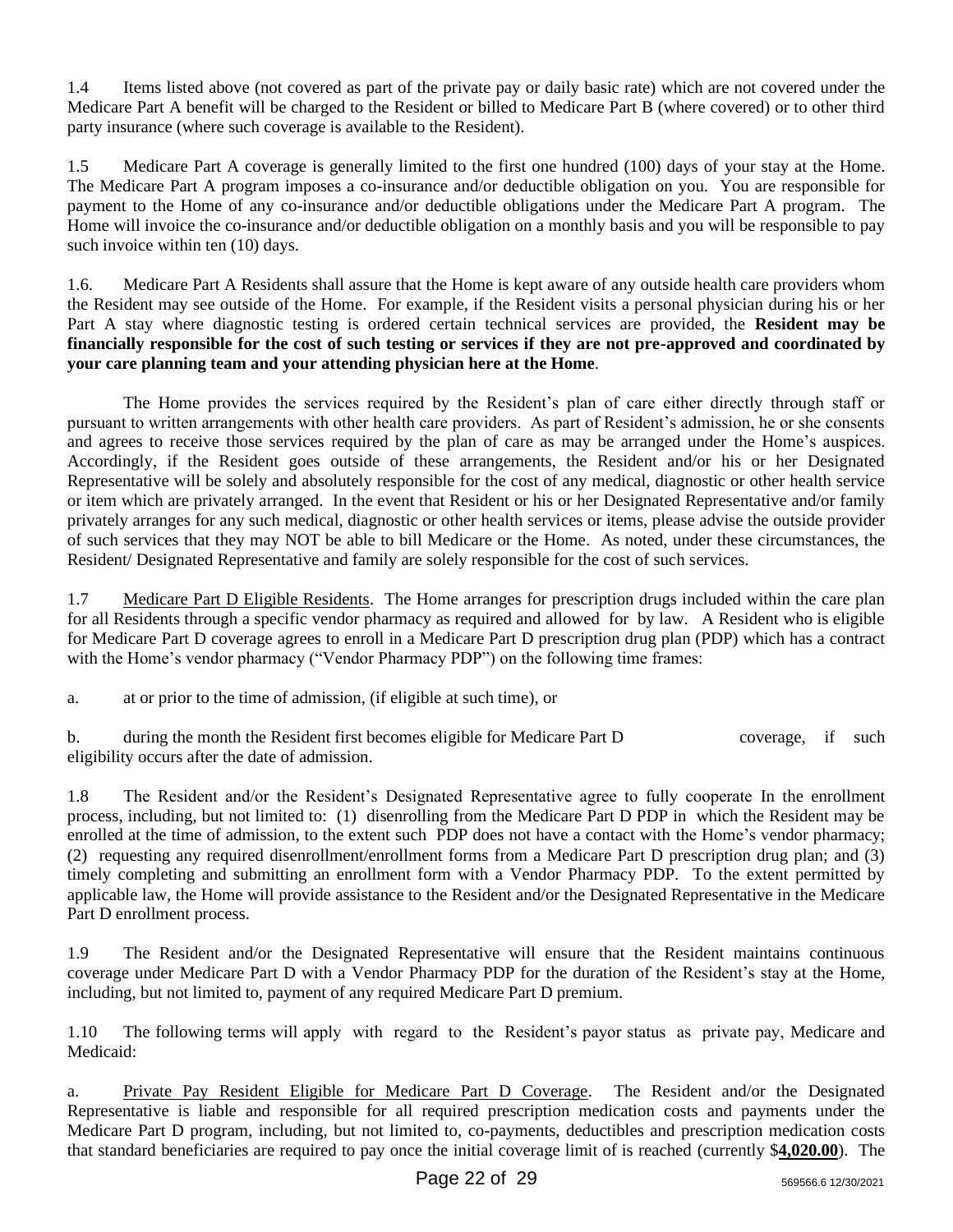1.4 Items listed above (not covered as part of the private pay or daily basic rate) which are not covered under the Medicare Part A benefit will be charged to the Resident or billed to Medicare Part B (where covered) or to other third party insurance (where such coverage is available to the Resident).

1.5 Medicare Part A coverage is generally limited to the first one hundred (100) days of your stay at the Home. The Medicare Part A program imposes a co-insurance and/or deductible obligation on you. You are responsible for payment to the Home of any co-insurance and/or deductible obligations under the Medicare Part A program. The Home will invoice the co-insurance and/or deductible obligation on a monthly basis and you will be responsible to pay such invoice within ten  $(10)$  days.

1.6. Medicare Part A Residents shall assure that the Home is kept aware of any outside health care providers whom the Resident may see outside of the Home. For example, if the Resident visits a personal physician during his or her Part A stay where diagnostic testing is ordered certain technical services are provided, the **Resident may be financially responsible for the cost of such testing or services if they are not pre-approved and coordinated by your care planning team and your attending physician here at the Home**.

The Home provides the services required by the Resident's plan of care either directly through staff or pursuant to written arrangements with other health care providers. As part of Resident's admission, he or she consents and agrees to receive those services required by the plan of care as may be arranged under the Home's auspices. Accordingly, if the Resident goes outside of these arrangements, the Resident and/or his or her Designated Representative will be solely and absolutely responsible for the cost of any medical, diagnostic or other health service or item which are privately arranged. In the event that Resident or his or her Designated Representative and/or family privately arranges for any such medical, diagnostic or other health services or items, please advise the outside provider of such services that they may NOT be able to bill Medicare or the Home. As noted, under these circumstances, the Resident/ Designated Representative and family are solely responsible for the cost of such services.

1.7 Medicare Part D Eligible Residents. The Home arranges for prescription drugs included within the care plan for all Residents through a specific vendor pharmacy as required and allowed for by law. A Resident who is eligible for Medicare Part D coverage agrees to enroll in a Medicare Part D prescription drug plan (PDP) which has a contract with the Home's vendor pharmacy ("Vendor Pharmacy PDP") on the following time frames:

a. at or prior to the time of admission, (if eligible at such time), or

b. during the month the Resident first becomes eligible for Medicare Part D coverage, if such eligibility occurs after the date of admission.

1.8 The Resident and/or the Resident's Designated Representative agree to fully cooperate In the enrollment process, including, but not limited to: (1) disenrolling from the Medicare Part D PDP in which the Resident may be enrolled at the time of admission, to the extent such PDP does not have a contact with the Home's vendor pharmacy; (2) requesting any required disenrollment/enrollment forms from a Medicare Part D prescription drug plan; and (3) timely completing and submitting an enrollment form with a Vendor Pharmacy PDP. To the extent permitted by applicable law, the Home will provide assistance to the Resident and/or the Designated Representative in the Medicare Part D enrollment process.

1.9 The Resident and/or the Designated Representative will ensure that the Resident maintains continuous coverage under Medicare Part D with a Vendor Pharmacy PDP for the duration of the Resident's stay at the Home, including, but not limited to, payment of any required Medicare Part D premium.

1.10 The following terms will apply with regard to the Resident's payor status as private pay, Medicare and Medicaid:

a. Private Pay Resident Eligible for Medicare Part D Coverage. The Resident and/or the Designated Representative is liable and responsible for all required prescription medication costs and payments under the Medicare Part D program, including, but not limited to, co-payments, deductibles and prescription medication costs that standard beneficiaries are required to pay once the initial coverage limit of is reached (currently \$**4,020.00**). The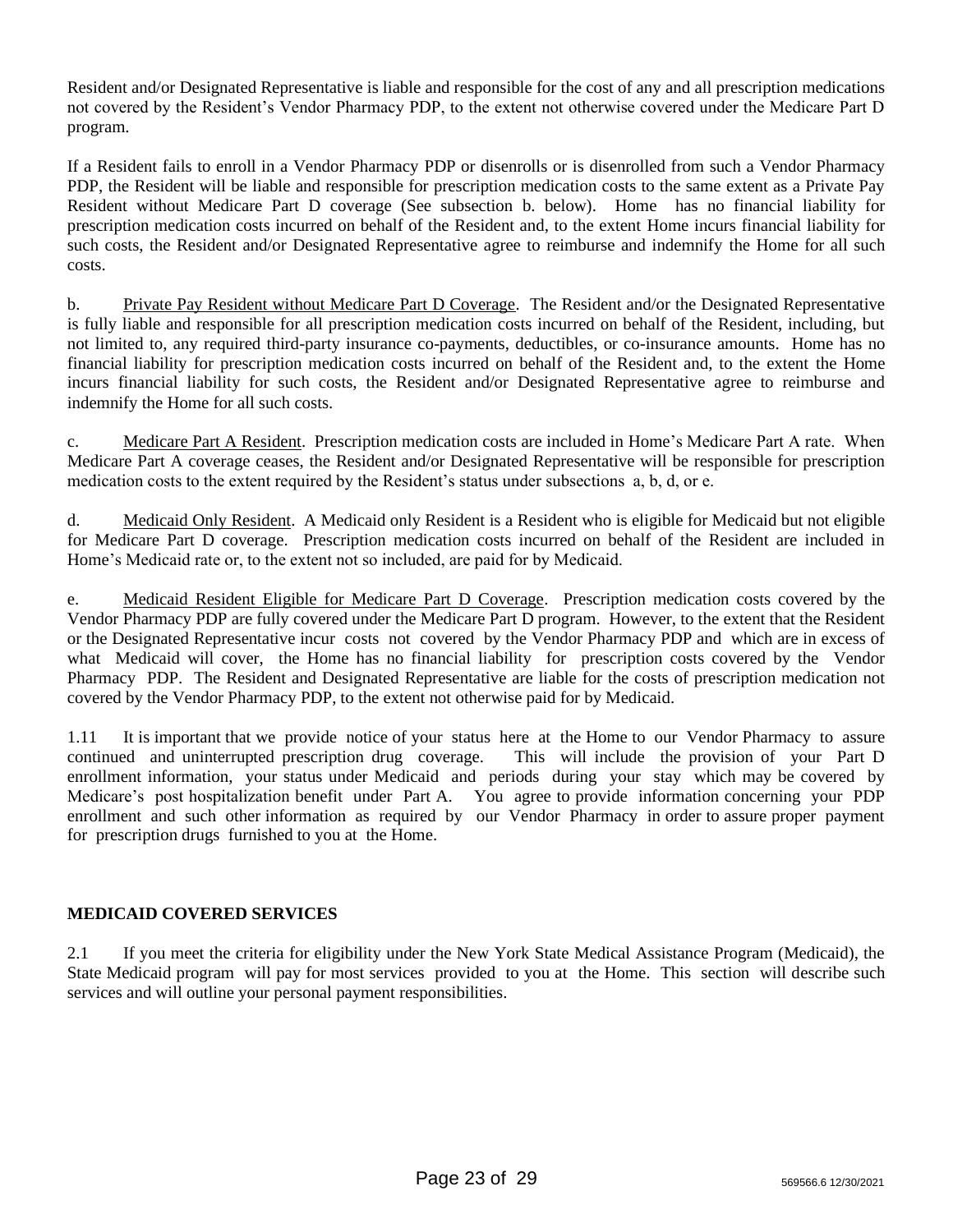Resident and/or Designated Representative is liable and responsible for the cost of any and all prescription medications not covered by the Resident's Vendor Pharmacy PDP, to the extent not otherwise covered under the Medicare Part D program.

If a Resident fails to enroll in a Vendor Pharmacy PDP or disenrolls or is disenrolled from such a Vendor Pharmacy PDP, the Resident will be liable and responsible for prescription medication costs to the same extent as a Private Pay Resident without Medicare Part D coverage (See subsection b. below). Home has no financial liability for prescription medication costs incurred on behalf of the Resident and, to the extent Home incurs financial liability for such costs, the Resident and/or Designated Representative agree to reimburse and indemnify the Home for all such costs.

b. Private Pay Resident without Medicare Part D Coverage. The Resident and/or the Designated Representative is fully liable and responsible for all prescription medication costs incurred on behalf of the Resident, including, but not limited to, any required third-party insurance co-payments, deductibles, or co-insurance amounts. Home has no financial liability for prescription medication costs incurred on behalf of the Resident and, to the extent the Home incurs financial liability for such costs, the Resident and/or Designated Representative agree to reimburse and indemnify the Home for all such costs.

c. Medicare Part A Resident. Prescription medication costs are included in Home's Medicare Part A rate. When Medicare Part A coverage ceases, the Resident and/or Designated Representative will be responsible for prescription medication costs to the extent required by the Resident's status under subsections a, b, d, or e.

d. Medicaid Only Resident. A Medicaid only Resident is a Resident who is eligible for Medicaid but not eligible for Medicare Part D coverage. Prescription medication costs incurred on behalf of the Resident are included in Home's Medicaid rate or, to the extent not so included, are paid for by Medicaid.

e. Medicaid Resident Eligible for Medicare Part D Coverage. Prescription medication costs covered by the Vendor Pharmacy PDP are fully covered under the Medicare Part D program. However, to the extent that the Resident or the Designated Representative incur costs not covered by the Vendor Pharmacy PDP and which are in excess of what Medicaid will cover, the Home has no financial liability for prescription costs covered by the Vendor Pharmacy PDP. The Resident and Designated Representative are liable for the costs of prescription medication not covered by the Vendor Pharmacy PDP, to the extent not otherwise paid for by Medicaid.

1.11 It is important that we provide notice of your status here at the Home to our Vendor Pharmacy to assure continued and uninterrupted prescription drug coverage. This will include the provision of your Part D enrollment information, your status under Medicaid and periods during your stay which may be covered by Medicare's post hospitalization benefit under Part A. You agree to provide information concerning your PDP enrollment and such other information as required by our Vendor Pharmacy in order to assure proper payment for prescription drugs furnished to you at the Home.

# **MEDICAID COVERED SERVICES**

2.1 If you meet the criteria for eligibility under the New York State Medical Assistance Program (Medicaid), the State Medicaid program will pay for most services provided to you at the Home. This section will describe such services and will outline your personal payment responsibilities.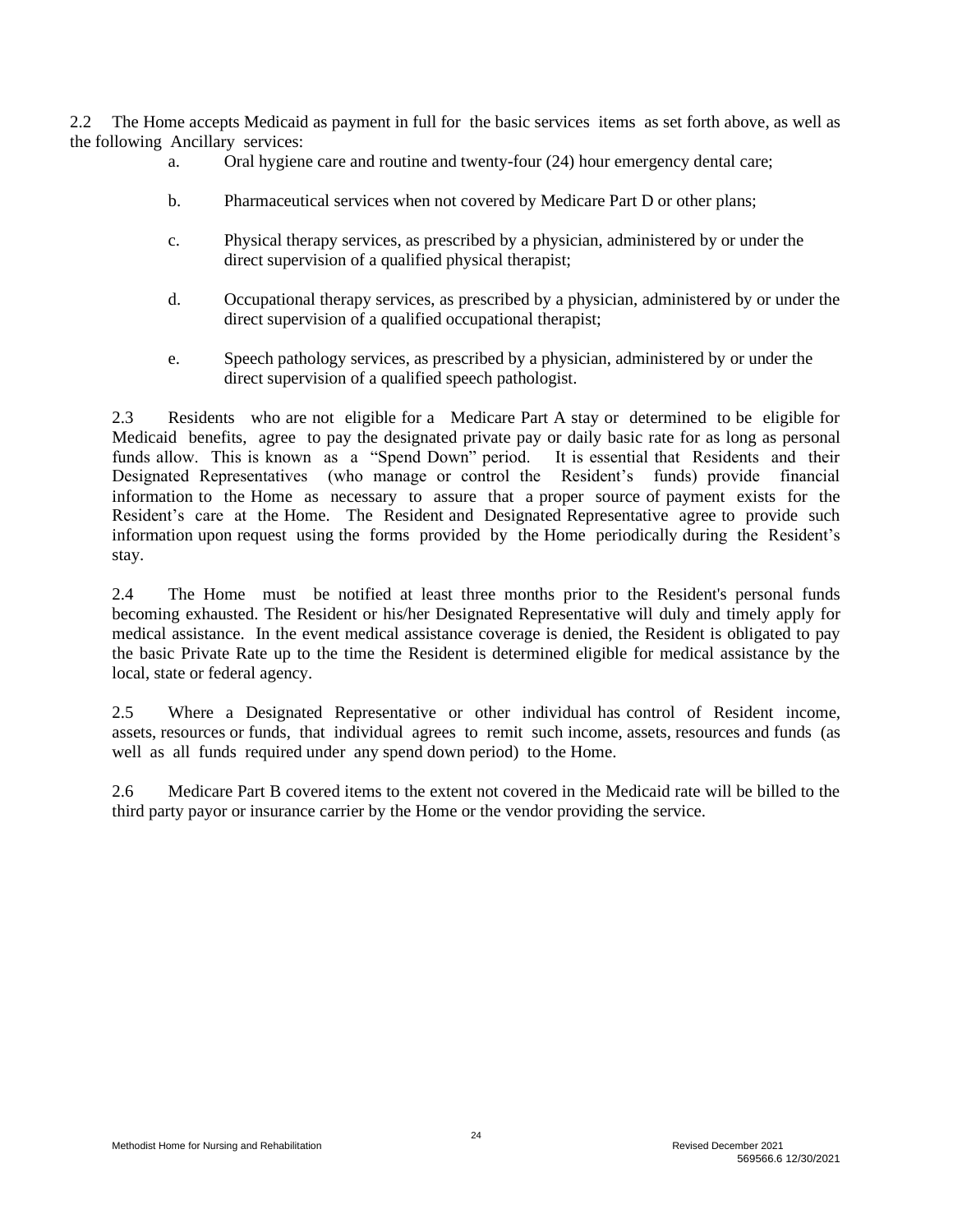2.2 The Home accepts Medicaid as payment in full for the basic services items as set forth above, as well as the following Ancillary services:

- a. Oral hygiene care and routine and twenty-four (24) hour emergency dental care;
- b. Pharmaceutical services when not covered by Medicare Part D or other plans;
- c. Physical therapy services, as prescribed by a physician, administered by or under the direct supervision of a qualified physical therapist;
- d. Occupational therapy services, as prescribed by a physician, administered by or under the direct supervision of a qualified occupational therapist;
- e. Speech pathology services, as prescribed by a physician, administered by or under the direct supervision of a qualified speech pathologist.

2.3 Residents who are not eligible for a Medicare Part A stay or determined to be eligible for Medicaid benefits, agree to pay the designated private pay or daily basic rate for as long as personal funds allow. This is known as a "Spend Down" period. It is essential that Residents and their Designated Representatives (who manage or control the Resident's funds) provide financial information to the Home as necessary to assure that a proper source of payment exists for the Resident's care at the Home. The Resident and Designated Representative agree to provide such information upon request using the forms provided by the Home periodically during the Resident's stay.

2.4 The Home must be notified at least three months prior to the Resident's personal funds becoming exhausted. The Resident or his/her Designated Representative will duly and timely apply for medical assistance. In the event medical assistance coverage is denied, the Resident is obligated to pay the basic Private Rate up to the time the Resident is determined eligible for medical assistance by the local, state or federal agency.

2.5 Where a Designated Representative or other individual has control of Resident income, assets, resources or funds, that individual agrees to remit such income, assets, resources and funds (as well as all funds required under any spend down period) to the Home.

2.6 Medicare Part B covered items to the extent not covered in the Medicaid rate will be billed to the third party payor or insurance carrier by the Home or the vendor providing the service.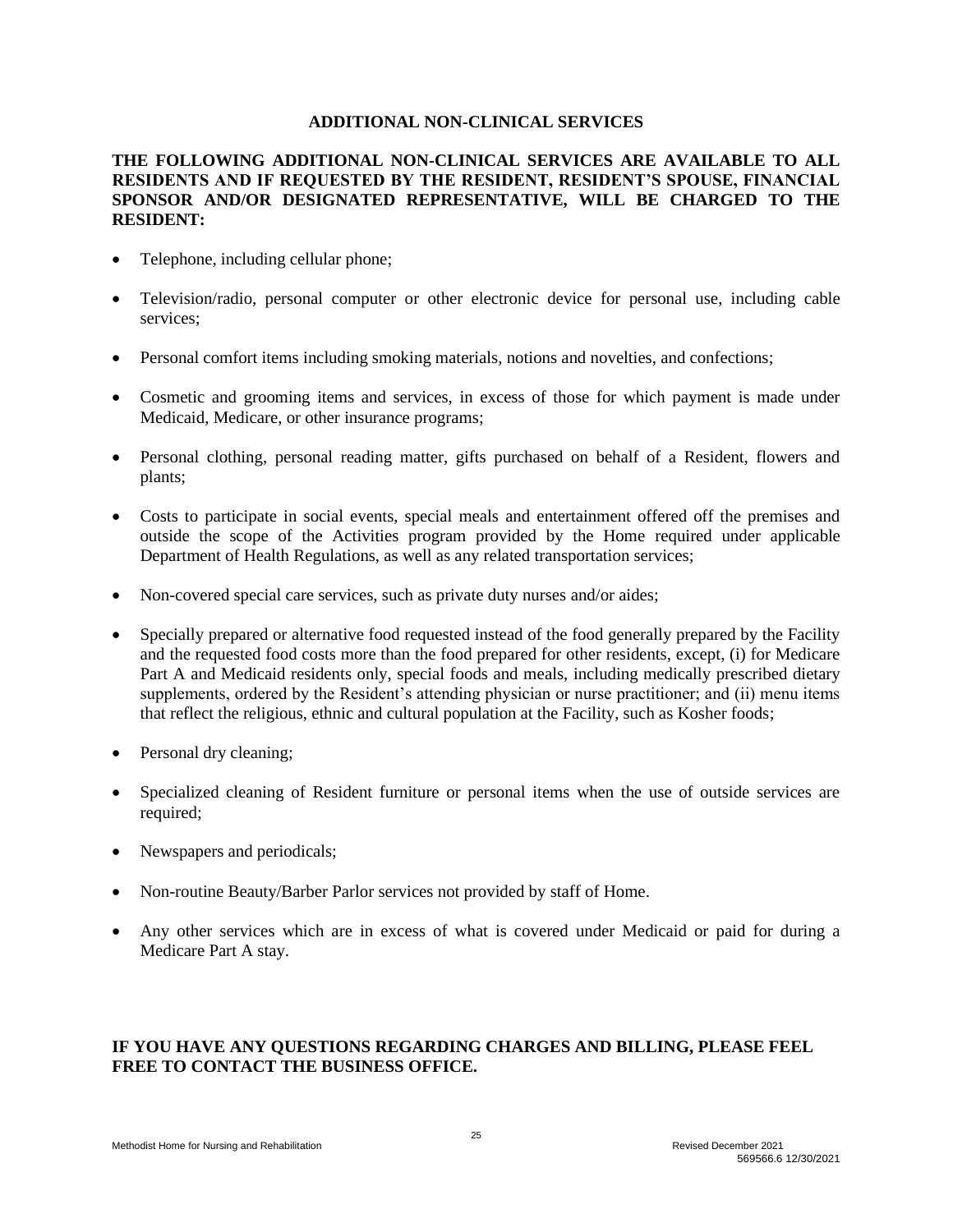#### **ADDITIONAL NON-CLINICAL SERVICES**

## **THE FOLLOWING ADDITIONAL NON-CLINICAL SERVICES ARE AVAILABLE TO ALL RESIDENTS AND IF REQUESTED BY THE RESIDENT, RESIDENT'S SPOUSE, FINANCIAL SPONSOR AND/OR DESIGNATED REPRESENTATIVE, WILL BE CHARGED TO THE RESIDENT:**

- Telephone, including cellular phone;
- Television/radio, personal computer or other electronic device for personal use, including cable services;
- Personal comfort items including smoking materials, notions and novelties, and confections;
- Cosmetic and grooming items and services, in excess of those for which payment is made under Medicaid, Medicare, or other insurance programs;
- Personal clothing, personal reading matter, gifts purchased on behalf of a Resident, flowers and plants;
- Costs to participate in social events, special meals and entertainment offered off the premises and outside the scope of the Activities program provided by the Home required under applicable Department of Health Regulations, as well as any related transportation services;
- Non-covered special care services, such as private duty nurses and/or aides;
- Specially prepared or alternative food requested instead of the food generally prepared by the Facility and the requested food costs more than the food prepared for other residents, except, (i) for Medicare Part A and Medicaid residents only, special foods and meals, including medically prescribed dietary supplements, ordered by the Resident's attending physician or nurse practitioner; and (ii) menu items that reflect the religious, ethnic and cultural population at the Facility, such as Kosher foods;
- Personal dry cleaning;
- Specialized cleaning of Resident furniture or personal items when the use of outside services are required;
- Newspapers and periodicals;
- Non-routine Beauty/Barber Parlor services not provided by staff of Home.
- Any other services which are in excess of what is covered under Medicaid or paid for during a Medicare Part A stay.

## **IF YOU HAVE ANY QUESTIONS REGARDING CHARGES AND BILLING, PLEASE FEEL FREE TO CONTACT THE BUSINESS OFFICE.**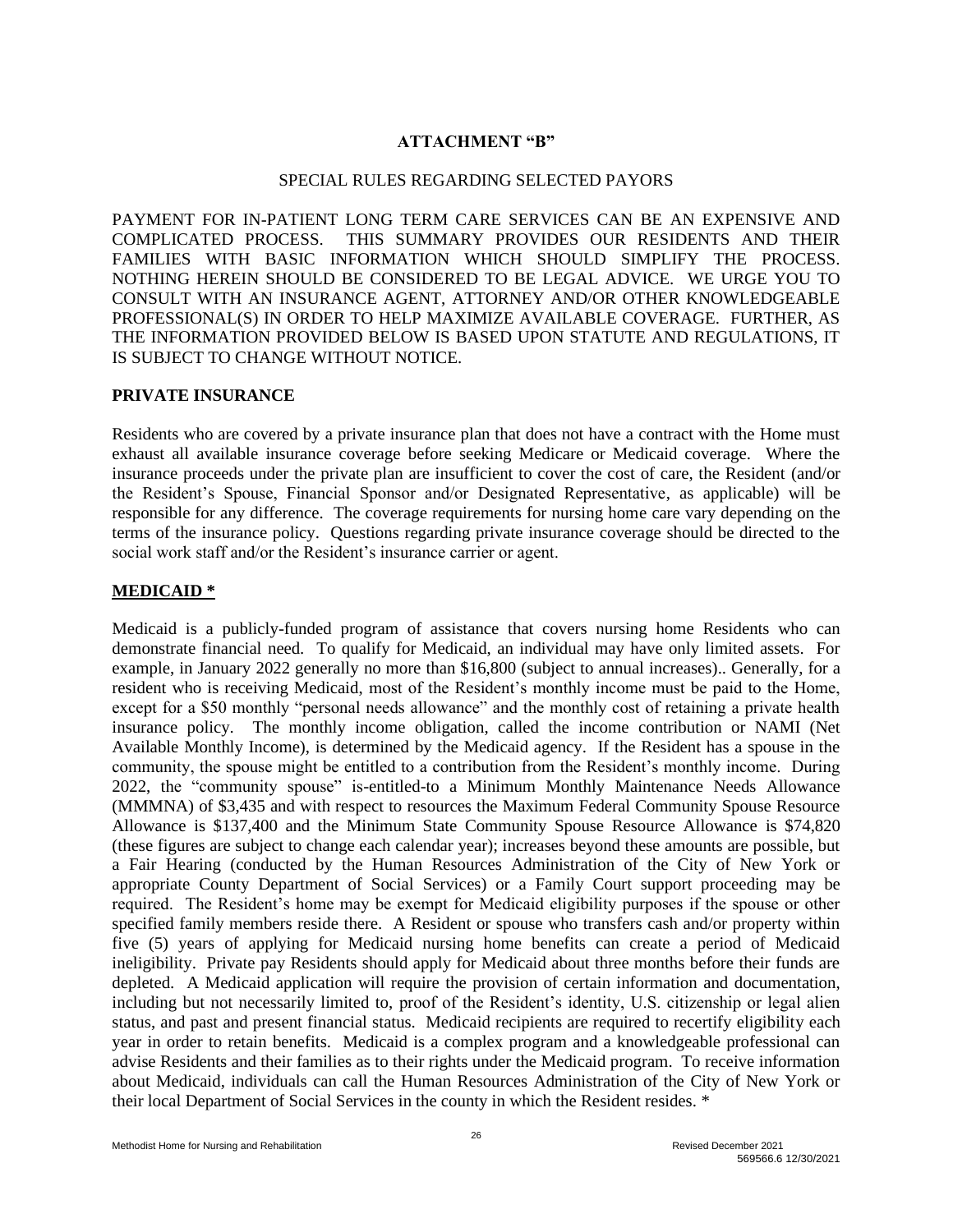### **ATTACHMENT "B"**

#### SPECIAL RULES REGARDING SELECTED PAYORS

PAYMENT FOR IN-PATIENT LONG TERM CARE SERVICES CAN BE AN EXPENSIVE AND COMPLICATED PROCESS. THIS SUMMARY PROVIDES OUR RESIDENTS AND THEIR FAMILIES WITH BASIC INFORMATION WHICH SHOULD SIMPLIFY THE PROCESS. NOTHING HEREIN SHOULD BE CONSIDERED TO BE LEGAL ADVICE. WE URGE YOU TO CONSULT WITH AN INSURANCE AGENT, ATTORNEY AND/OR OTHER KNOWLEDGEABLE PROFESSIONAL(S) IN ORDER TO HELP MAXIMIZE AVAILABLE COVERAGE. FURTHER, AS THE INFORMATION PROVIDED BELOW IS BASED UPON STATUTE AND REGULATIONS, IT IS SUBJECT TO CHANGE WITHOUT NOTICE.

#### **PRIVATE INSURANCE**

Residents who are covered by a private insurance plan that does not have a contract with the Home must exhaust all available insurance coverage before seeking Medicare or Medicaid coverage. Where the insurance proceeds under the private plan are insufficient to cover the cost of care, the Resident (and/or the Resident's Spouse, Financial Sponsor and/or Designated Representative, as applicable) will be responsible for any difference. The coverage requirements for nursing home care vary depending on the terms of the insurance policy. Questions regarding private insurance coverage should be directed to the social work staff and/or the Resident's insurance carrier or agent.

#### **MEDICAID \***

Medicaid is a publicly-funded program of assistance that covers nursing home Residents who can demonstrate financial need. To qualify for Medicaid, an individual may have only limited assets. For example, in January 2022 generally no more than \$16,800 (subject to annual increases).. Generally, for a resident who is receiving Medicaid, most of the Resident's monthly income must be paid to the Home, except for a \$50 monthly "personal needs allowance" and the monthly cost of retaining a private health insurance policy. The monthly income obligation, called the income contribution or NAMI (Net Available Monthly Income), is determined by the Medicaid agency. If the Resident has a spouse in the community, the spouse might be entitled to a contribution from the Resident's monthly income. During 2022, the "community spouse" is-entitled-to a Minimum Monthly Maintenance Needs Allowance (MMMNA) of \$3,435 and with respect to resources the Maximum Federal Community Spouse Resource Allowance is \$137,400 and the Minimum State Community Spouse Resource Allowance is \$74,820 (these figures are subject to change each calendar year); increases beyond these amounts are possible, but a Fair Hearing (conducted by the Human Resources Administration of the City of New York or appropriate County Department of Social Services) or a Family Court support proceeding may be required. The Resident's home may be exempt for Medicaid eligibility purposes if the spouse or other specified family members reside there. A Resident or spouse who transfers cash and/or property within five (5) years of applying for Medicaid nursing home benefits can create a period of Medicaid ineligibility. Private pay Residents should apply for Medicaid about three months before their funds are depleted. A Medicaid application will require the provision of certain information and documentation, including but not necessarily limited to, proof of the Resident's identity, U.S. citizenship or legal alien status, and past and present financial status. Medicaid recipients are required to recertify eligibility each year in order to retain benefits. Medicaid is a complex program and a knowledgeable professional can advise Residents and their families as to their rights under the Medicaid program. To receive information about Medicaid, individuals can call the Human Resources Administration of the City of New York or their local Department of Social Services in the county in which the Resident resides. \*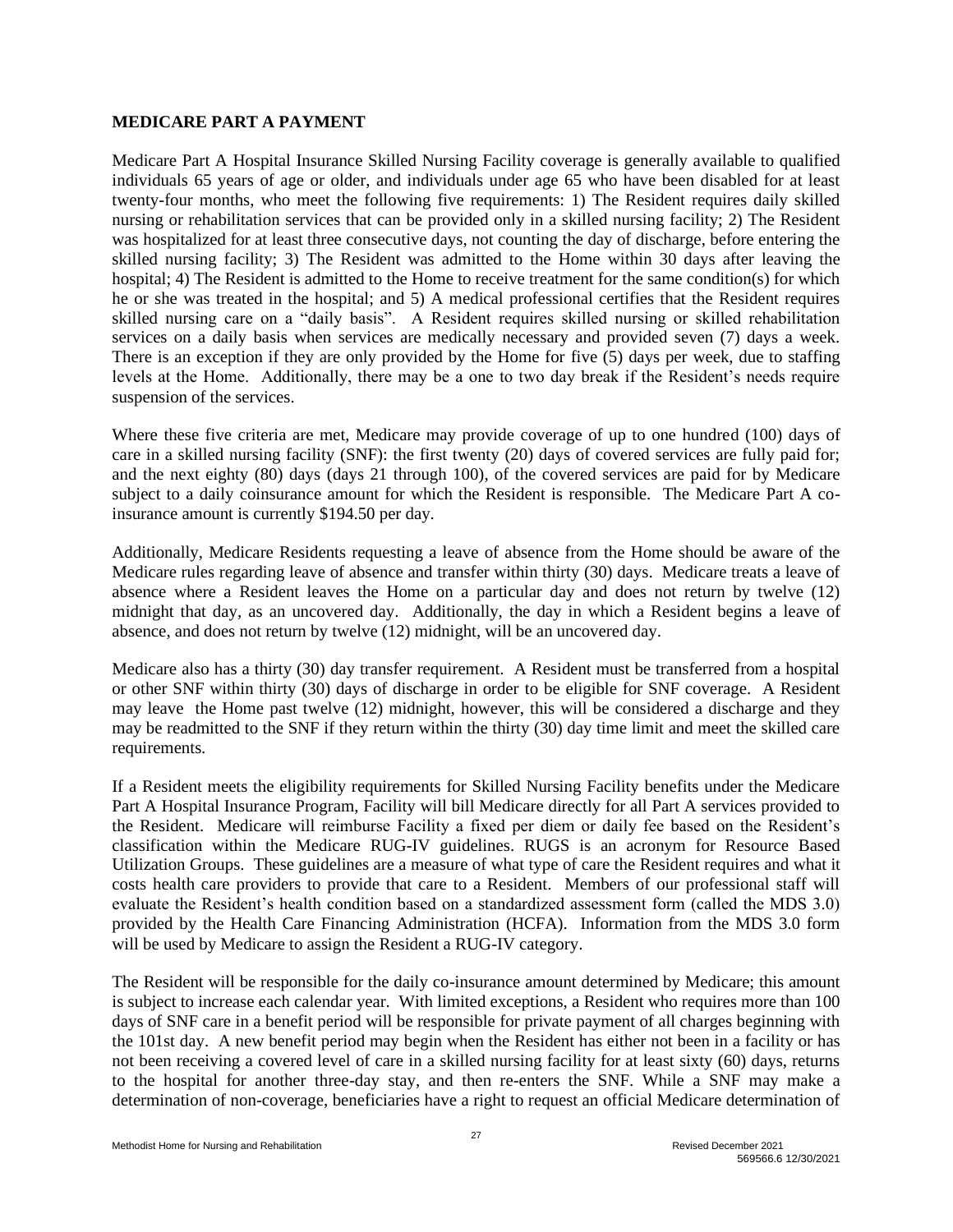#### **MEDICARE PART A PAYMENT**

Medicare Part A Hospital Insurance Skilled Nursing Facility coverage is generally available to qualified individuals 65 years of age or older, and individuals under age 65 who have been disabled for at least twenty-four months, who meet the following five requirements: 1) The Resident requires daily skilled nursing or rehabilitation services that can be provided only in a skilled nursing facility; 2) The Resident was hospitalized for at least three consecutive days, not counting the day of discharge, before entering the skilled nursing facility; 3) The Resident was admitted to the Home within 30 days after leaving the hospital; 4) The Resident is admitted to the Home to receive treatment for the same condition(s) for which he or she was treated in the hospital; and 5) A medical professional certifies that the Resident requires skilled nursing care on a "daily basis". A Resident requires skilled nursing or skilled rehabilitation services on a daily basis when services are medically necessary and provided seven (7) days a week. There is an exception if they are only provided by the Home for five (5) days per week, due to staffing levels at the Home. Additionally, there may be a one to two day break if the Resident's needs require suspension of the services.

Where these five criteria are met, Medicare may provide coverage of up to one hundred (100) days of care in a skilled nursing facility (SNF): the first twenty (20) days of covered services are fully paid for; and the next eighty (80) days (days 21 through 100), of the covered services are paid for by Medicare subject to a daily coinsurance amount for which the Resident is responsible. The Medicare Part A coinsurance amount is currently \$194.50 per day.

Additionally, Medicare Residents requesting a leave of absence from the Home should be aware of the Medicare rules regarding leave of absence and transfer within thirty (30) days. Medicare treats a leave of absence where a Resident leaves the Home on a particular day and does not return by twelve (12) midnight that day, as an uncovered day. Additionally, the day in which a Resident begins a leave of absence, and does not return by twelve (12) midnight, will be an uncovered day.

Medicare also has a thirty (30) day transfer requirement. A Resident must be transferred from a hospital or other SNF within thirty (30) days of discharge in order to be eligible for SNF coverage. A Resident may leave the Home past twelve (12) midnight, however, this will be considered a discharge and they may be readmitted to the SNF if they return within the thirty (30) day time limit and meet the skilled care requirements.

If a Resident meets the eligibility requirements for Skilled Nursing Facility benefits under the Medicare Part A Hospital Insurance Program, Facility will bill Medicare directly for all Part A services provided to the Resident. Medicare will reimburse Facility a fixed per diem or daily fee based on the Resident's classification within the Medicare RUG-IV guidelines. RUGS is an acronym for Resource Based Utilization Groups. These guidelines are a measure of what type of care the Resident requires and what it costs health care providers to provide that care to a Resident. Members of our professional staff will evaluate the Resident's health condition based on a standardized assessment form (called the MDS 3.0) provided by the Health Care Financing Administration (HCFA). Information from the MDS 3.0 form will be used by Medicare to assign the Resident a RUG-IV category.

The Resident will be responsible for the daily co-insurance amount determined by Medicare; this amount is subject to increase each calendar year. With limited exceptions, a Resident who requires more than 100 days of SNF care in a benefit period will be responsible for private payment of all charges beginning with the 101st day. A new benefit period may begin when the Resident has either not been in a facility or has not been receiving a covered level of care in a skilled nursing facility for at least sixty (60) days, returns to the hospital for another three-day stay, and then re-enters the SNF. While a SNF may make a determination of non-coverage, beneficiaries have a right to request an official Medicare determination of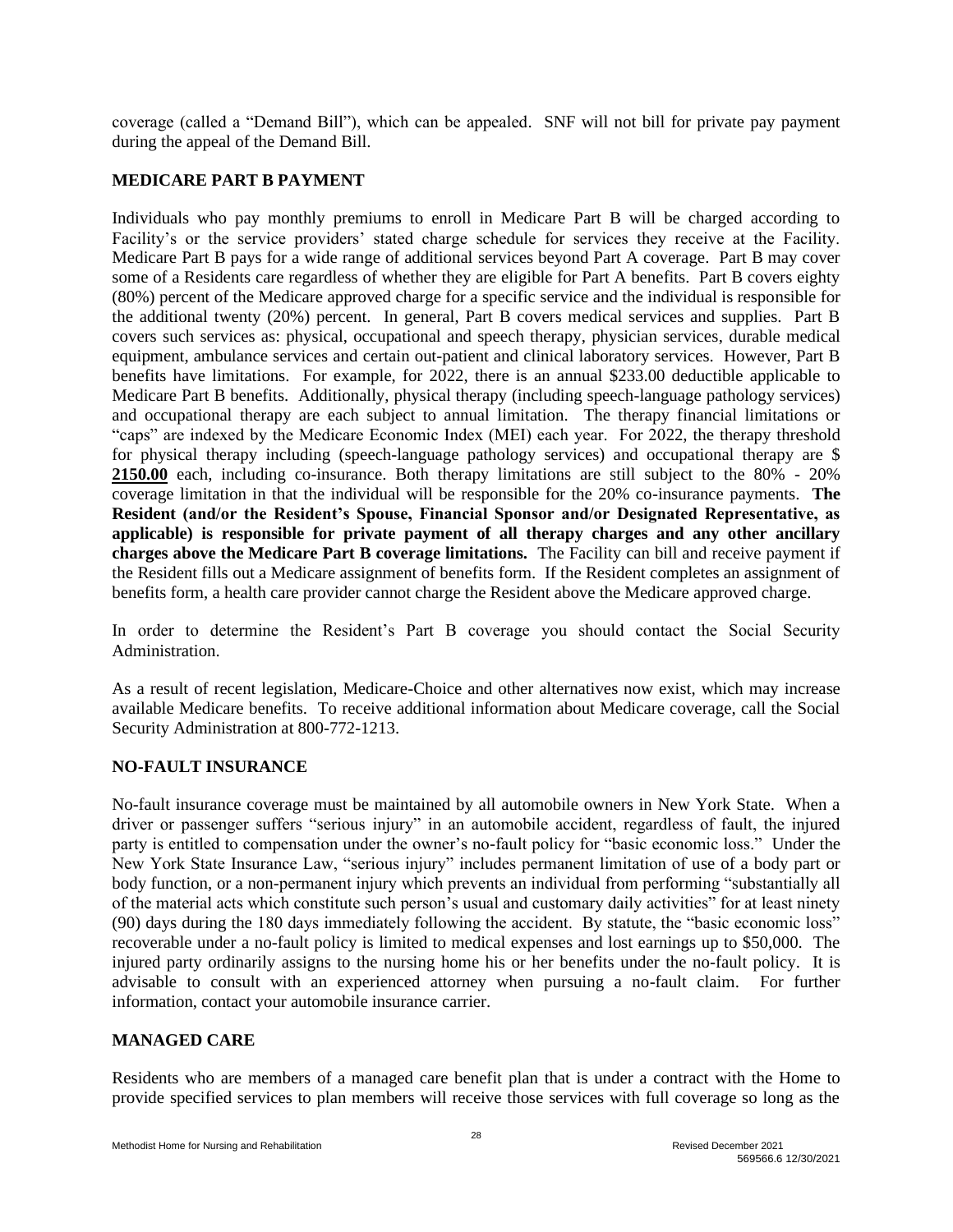coverage (called a "Demand Bill"), which can be appealed. SNF will not bill for private pay payment during the appeal of the Demand Bill.

## **MEDICARE PART B PAYMENT**

Individuals who pay monthly premiums to enroll in Medicare Part B will be charged according to Facility's or the service providers' stated charge schedule for services they receive at the Facility. Medicare Part B pays for a wide range of additional services beyond Part A coverage. Part B may cover some of a Residents care regardless of whether they are eligible for Part A benefits. Part B covers eighty (80%) percent of the Medicare approved charge for a specific service and the individual is responsible for the additional twenty (20%) percent. In general, Part B covers medical services and supplies. Part B covers such services as: physical, occupational and speech therapy, physician services, durable medical equipment, ambulance services and certain out-patient and clinical laboratory services. However, Part B benefits have limitations. For example, for 2022, there is an annual \$233.00 deductible applicable to Medicare Part B benefits. Additionally, physical therapy (including speech-language pathology services) and occupational therapy are each subject to annual limitation. The therapy financial limitations or "caps" are indexed by the Medicare Economic Index (MEI) each year. For 2022, the therapy threshold for physical therapy including (speech-language pathology services) and occupational therapy are \$ **2150.00** each, including co-insurance. Both therapy limitations are still subject to the 80% - 20% coverage limitation in that the individual will be responsible for the 20% co-insurance payments. **The Resident (and/or the Resident's Spouse, Financial Sponsor and/or Designated Representative, as applicable) is responsible for private payment of all therapy charges and any other ancillary charges above the Medicare Part B coverage limitations.** The Facility can bill and receive payment if the Resident fills out a Medicare assignment of benefits form. If the Resident completes an assignment of benefits form, a health care provider cannot charge the Resident above the Medicare approved charge.

In order to determine the Resident's Part B coverage you should contact the Social Security Administration.

As a result of recent legislation, Medicare-Choice and other alternatives now exist, which may increase available Medicare benefits. To receive additional information about Medicare coverage, call the Social Security Administration at 800-772-1213.

## **NO-FAULT INSURANCE**

No-fault insurance coverage must be maintained by all automobile owners in New York State. When a driver or passenger suffers "serious injury" in an automobile accident, regardless of fault, the injured party is entitled to compensation under the owner's no-fault policy for "basic economic loss." Under the New York State Insurance Law, "serious injury" includes permanent limitation of use of a body part or body function, or a non-permanent injury which prevents an individual from performing "substantially all of the material acts which constitute such person's usual and customary daily activities" for at least ninety (90) days during the 180 days immediately following the accident. By statute, the "basic economic loss" recoverable under a no-fault policy is limited to medical expenses and lost earnings up to \$50,000. The injured party ordinarily assigns to the nursing home his or her benefits under the no-fault policy. It is advisable to consult with an experienced attorney when pursuing a no-fault claim. For further information, contact your automobile insurance carrier.

# **MANAGED CARE**

Residents who are members of a managed care benefit plan that is under a contract with the Home to provide specified services to plan members will receive those services with full coverage so long as the